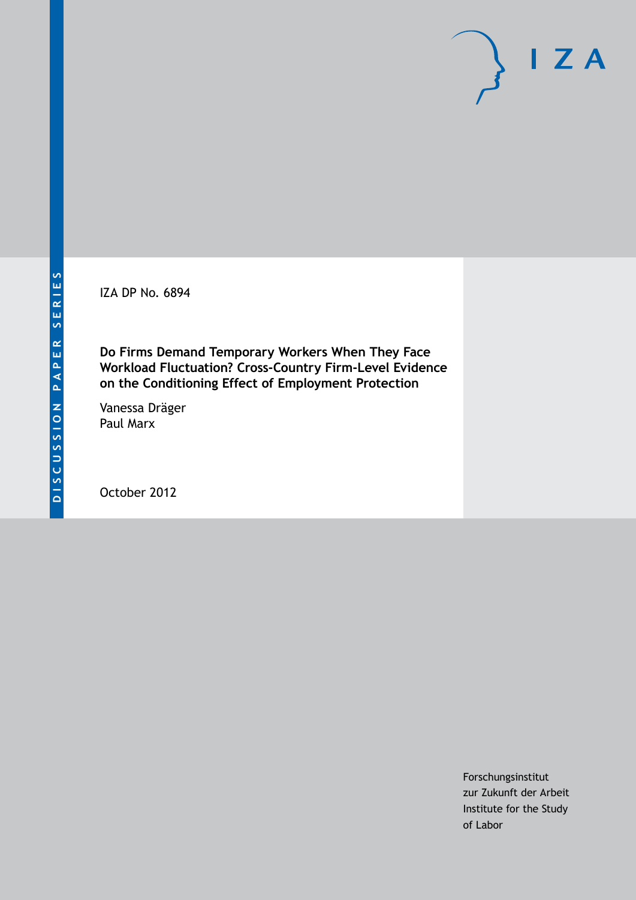IZA DP No. 6894

**Do Firms Demand Temporary Workers When They Face Workload Fluctuation? Cross-Country Firm-Level Evidence on the Conditioning Effect of Employment Protection**

Vanessa Dräger Paul Marx

October 2012

Forschungsinstitut zur Zukunft der Arbeit Institute for the Study of Labor

 $I Z A$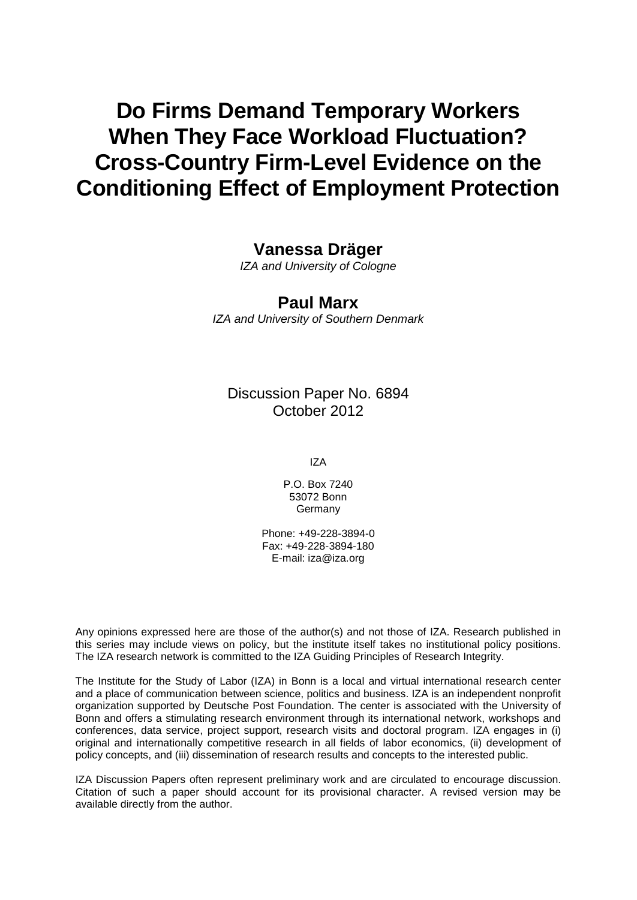# **Do Firms Demand Temporary Workers When They Face Workload Fluctuation? Cross-Country Firm-Level Evidence on the Conditioning Effect of Employment Protection**

## **Vanessa Dräger**

*IZA and University of Cologne*

### **Paul Marx**

*IZA and University of Southern Denmark*

Discussion Paper No. 6894 October 2012

IZA

P.O. Box 7240 53072 Bonn **Germany** 

Phone: +49-228-3894-0 Fax: +49-228-3894-180 E-mail: [iza@iza.org](mailto:iza@iza.org)

Any opinions expressed here are those of the author(s) and not those of IZA. Research published in this series may include views on policy, but the institute itself takes no institutional policy positions. The IZA research network is committed to the IZA Guiding Principles of Research Integrity.

The Institute for the Study of Labor (IZA) in Bonn is a local and virtual international research center and a place of communication between science, politics and business. IZA is an independent nonprofit organization supported by Deutsche Post Foundation. The center is associated with the University of Bonn and offers a stimulating research environment through its international network, workshops and conferences, data service, project support, research visits and doctoral program. IZA engages in (i) original and internationally competitive research in all fields of labor economics, (ii) development of policy concepts, and (iii) dissemination of research results and concepts to the interested public.

<span id="page-1-0"></span>IZA Discussion Papers often represent preliminary work and are circulated to encourage discussion. Citation of such a paper should account for its provisional character. A revised version may be available directly from the author.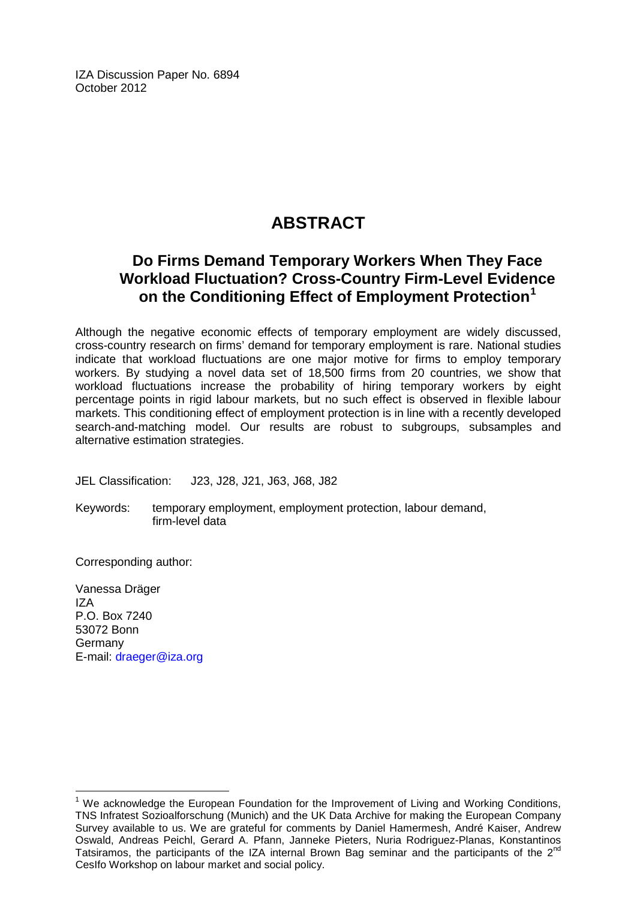IZA Discussion Paper No. 6894 October 2012

## **ABSTRACT**

## **Do Firms Demand Temporary Workers When They Face Workload Fluctuation? Cross-Country Firm-Level Evidence on the Conditioning Effect of Employment Protection[1](#page-1-0)**

Although the negative economic effects of temporary employment are widely discussed, cross-country research on firms' demand for temporary employment is rare. National studies indicate that workload fluctuations are one major motive for firms to employ temporary workers. By studying a novel data set of 18,500 firms from 20 countries, we show that workload fluctuations increase the probability of hiring temporary workers by eight percentage points in rigid labour markets, but no such effect is observed in flexible labour markets. This conditioning effect of employment protection is in line with a recently developed search-and-matching model. Our results are robust to subgroups, subsamples and alternative estimation strategies.

JEL Classification: J23, J28, J21, J63, J68, J82

Keywords: temporary employment, employment protection, labour demand, firm-level data

Corresponding author:

Vanessa Dräger IZA P.O. Box 7240 53072 Bonn **Germany** E-mail: [draeger@iza.org](mailto:draeger@iza.org)

<sup>&</sup>lt;sup>1</sup> We acknowledge the European Foundation for the Improvement of Living and Working Conditions, TNS Infratest Sozioalforschung (Munich) and the UK Data Archive for making the European Company Survey available to us. We are grateful for comments by Daniel Hamermesh, André Kaiser, Andrew Oswald, Andreas Peichl, Gerard A. Pfann, Janneke Pieters, Nuria Rodriguez-Planas, Konstantinos Tatsiramos, the participants of the IZA internal Brown Bag seminar and the participants of the  $2^{nd}$ CesIfo Workshop on labour market and social policy.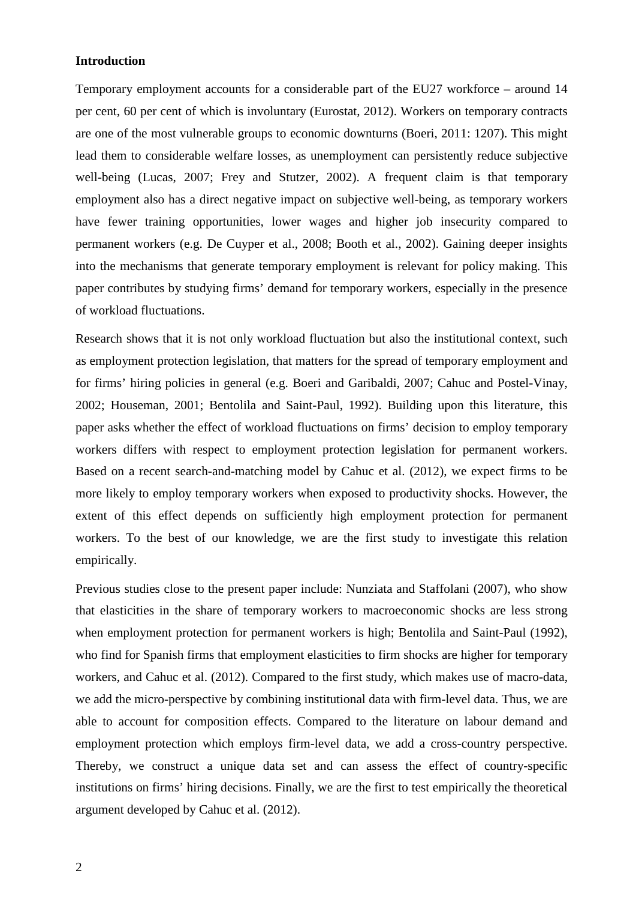#### **Introduction**

Temporary employment accounts for a considerable part of the EU27 workforce – around 14 per cent, 60 per cent of which is involuntary (Eurostat, 2012). Workers on temporary contracts are one of the most vulnerable groups to economic downturns (Boeri, 2011: 1207). This might lead them to considerable welfare losses, as unemployment can persistently reduce subjective well-being (Lucas, 2007; Frey and Stutzer, 2002). A frequent claim is that temporary employment also has a direct negative impact on subjective well-being, as temporary workers have fewer training opportunities, lower wages and higher job insecurity compared to permanent workers (e.g. De Cuyper et al., 2008; Booth et al., 2002). Gaining deeper insights into the mechanisms that generate temporary employment is relevant for policy making. This paper contributes by studying firms' demand for temporary workers, especially in the presence of workload fluctuations.

Research shows that it is not only workload fluctuation but also the institutional context, such as employment protection legislation, that matters for the spread of temporary employment and for firms' hiring policies in general (e.g. Boeri and Garibaldi, 2007; Cahuc and Postel-Vinay, 2002; Houseman, 2001; Bentolila and Saint-Paul, 1992). Building upon this literature, this paper asks whether the effect of workload fluctuations on firms' decision to employ temporary workers differs with respect to employment protection legislation for permanent workers. Based on a recent search-and-matching model by Cahuc et al. (2012), we expect firms to be more likely to employ temporary workers when exposed to productivity shocks. However, the extent of this effect depends on sufficiently high employment protection for permanent workers. To the best of our knowledge, we are the first study to investigate this relation empirically.

Previous studies close to the present paper include: Nunziata and Staffolani (2007), who show that elasticities in the share of temporary workers to macroeconomic shocks are less strong when employment protection for permanent workers is high; Bentolila and Saint-Paul (1992), who find for Spanish firms that employment elasticities to firm shocks are higher for temporary workers, and Cahuc et al. (2012). Compared to the first study, which makes use of macro-data, we add the micro-perspective by combining institutional data with firm-level data. Thus, we are able to account for composition effects. Compared to the literature on labour demand and employment protection which employs firm-level data, we add a cross-country perspective. Thereby, we construct a unique data set and can assess the effect of country-specific institutions on firms' hiring decisions. Finally, we are the first to test empirically the theoretical argument developed by Cahuc et al. (2012).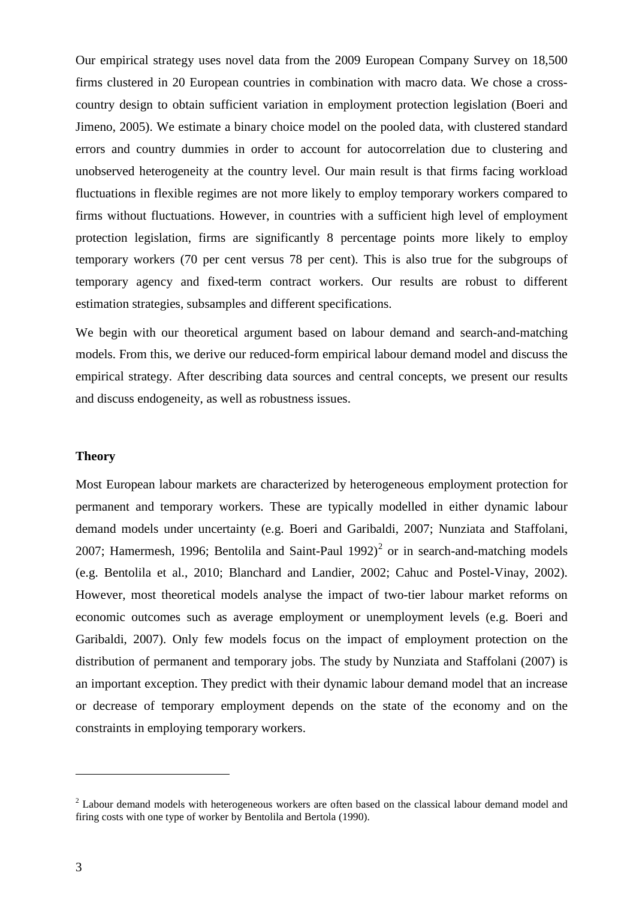Our empirical strategy uses novel data from the 2009 European Company Survey on 18,500 firms clustered in 20 European countries in combination with macro data. We chose a crosscountry design to obtain sufficient variation in employment protection legislation (Boeri and Jimeno, 2005). We estimate a binary choice model on the pooled data, with clustered standard errors and country dummies in order to account for autocorrelation due to clustering and unobserved heterogeneity at the country level. Our main result is that firms facing workload fluctuations in flexible regimes are not more likely to employ temporary workers compared to firms without fluctuations. However, in countries with a sufficient high level of employment protection legislation, firms are significantly 8 percentage points more likely to employ temporary workers (70 per cent versus 78 per cent). This is also true for the subgroups of temporary agency and fixed-term contract workers. Our results are robust to different estimation strategies, subsamples and different specifications.

We begin with our theoretical argument based on labour demand and search-and-matching models. From this, we derive our reduced-form empirical labour demand model and discuss the empirical strategy. After describing data sources and central concepts, we present our results and discuss endogeneity, as well as robustness issues.

#### **Theory**

Most European labour markets are characterized by heterogeneous employment protection for permanent and temporary workers. These are typically modelled in either dynamic labour demand models under uncertainty (e.g. Boeri and Garibaldi, 2007; Nunziata and Staffolani, 2007; Hamermesh, 1996; Bentolila and Saint-Paul  $1992$ )<sup>2</sup> or in search-and-matching models (e.g. Bentolila et al., 2010; Blanchard and Landier, 2002; Cahuc and Postel-Vinay, 2002). However, most theoretical models analyse the impact of two-tier labour market reforms on economic outcomes such as average employment or unemployment levels (e.g. Boeri and Garibaldi, 2007). Only few models focus on the impact of employment protection on the distribution of permanent and temporary jobs. The study by Nunziata and Staffolani (2007) is an important exception. They predict with their dynamic labour demand model that an increase or decrease of temporary employment depends on the state of the economy and on the constraints in employing temporary workers.

<span id="page-4-0"></span><sup>&</sup>lt;sup>2</sup> Labour demand models with heterogeneous workers are often based on the classical labour demand model and firing costs with one type of worker by Bentolila and Bertola (1990).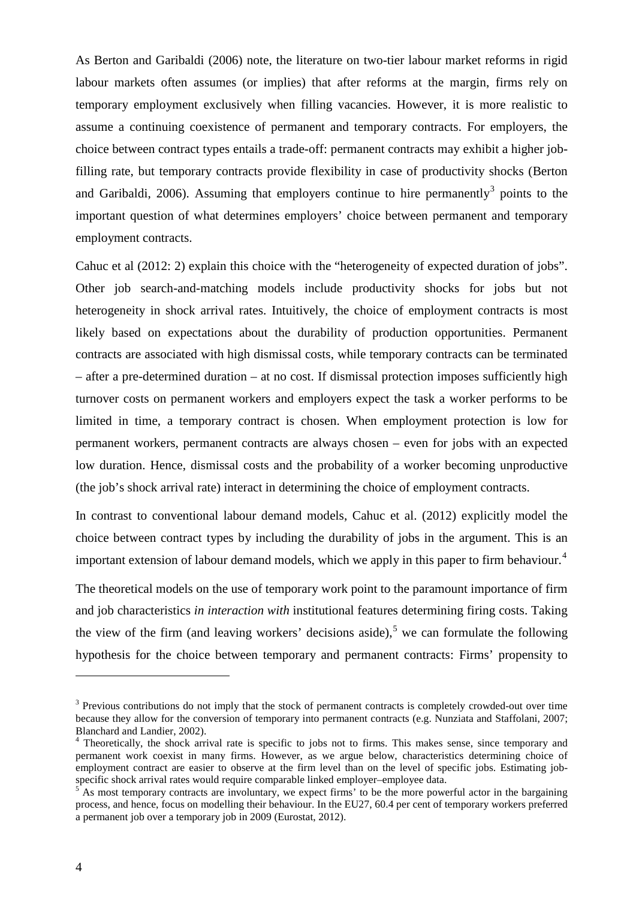As Berton and Garibaldi (2006) note, the literature on two-tier labour market reforms in rigid labour markets often assumes (or implies) that after reforms at the margin, firms rely on temporary employment exclusively when filling vacancies. However, it is more realistic to assume a continuing coexistence of permanent and temporary contracts. For employers, the choice between contract types entails a trade-off: permanent contracts may exhibit a higher jobfilling rate, but temporary contracts provide flexibility in case of productivity shocks (Berton and Garibaldi, 2006). Assuming that employers continue to hire permanently<sup>[3](#page-4-0)</sup> points to the important question of what determines employers' choice between permanent and temporary employment contracts.

Cahuc et al (2012: 2) explain this choice with the "heterogeneity of expected duration of jobs". Other job search-and-matching models include productivity shocks for jobs but not heterogeneity in shock arrival rates. Intuitively, the choice of employment contracts is most likely based on expectations about the durability of production opportunities. Permanent contracts are associated with high dismissal costs, while temporary contracts can be terminated – after a pre-determined duration – at no cost. If dismissal protection imposes sufficiently high turnover costs on permanent workers and employers expect the task a worker performs to be limited in time, a temporary contract is chosen. When employment protection is low for permanent workers, permanent contracts are always chosen – even for jobs with an expected low duration. Hence, dismissal costs and the probability of a worker becoming unproductive (the job's shock arrival rate) interact in determining the choice of employment contracts.

In contrast to conventional labour demand models, Cahuc et al. (2012) explicitly model the choice between contract types by including the durability of jobs in the argument. This is an important extension of labour demand models, which we apply in this paper to firm behaviour.<sup>[4](#page-5-0)</sup>

The theoretical models on the use of temporary work point to the paramount importance of firm and job characteristics *in interaction with* institutional features determining firing costs. Taking the view of the firm (and leaving workers' decisions aside),<sup>[5](#page-5-1)</sup> we can formulate the following hypothesis for the choice between temporary and permanent contracts: Firms' propensity to

<sup>&</sup>lt;sup>3</sup> Previous contributions do not imply that the stock of permanent contracts is completely crowded-out over time because they allow for the conversion of temporary into permanent contracts (e.g. Nunziata and Staffolani, 2007; Blanchard and Landier, 2002).

<span id="page-5-0"></span><sup>4</sup> Theoretically, the shock arrival rate is specific to jobs not to firms. This makes sense, since temporary and permanent work coexist in many firms. However, as we argue below, characteristics determining choice of employment contract are easier to observe at the firm level than on the level of specific jobs. Estimating job-<br>specific shock arrival rates would require comparable linked employer-employee data.

<span id="page-5-2"></span><span id="page-5-1"></span>As most temporary contracts are involuntary, we expect firms' to be the more powerful actor in the bargaining process, and hence, focus on modelling their behaviour. In the EU27, 60.4 per cent of temporary workers preferred a permanent job over a temporary job in 2009 (Eurostat, 2012).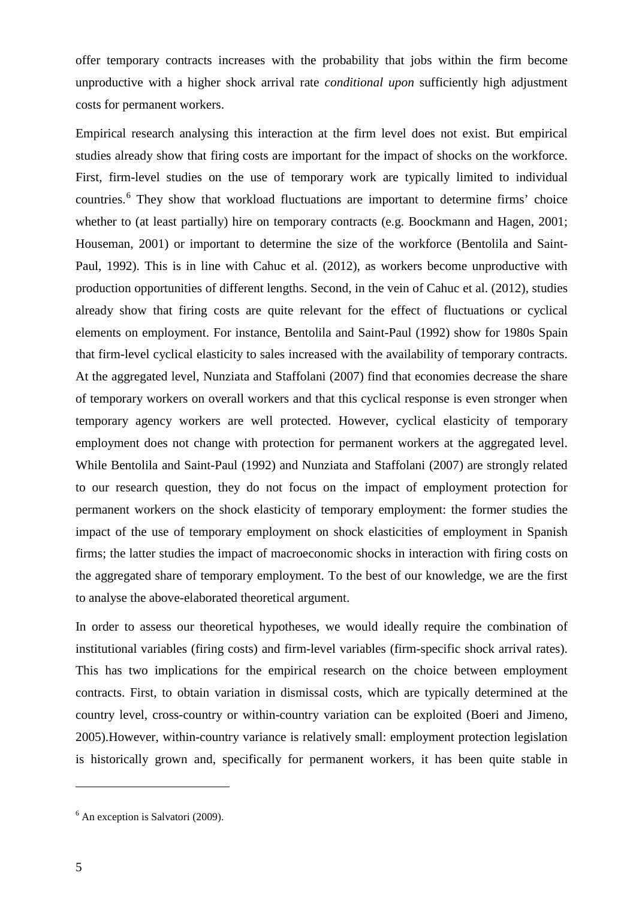offer temporary contracts increases with the probability that jobs within the firm become unproductive with a higher shock arrival rate *conditional upon* sufficiently high adjustment costs for permanent workers.

Empirical research analysing this interaction at the firm level does not exist. But empirical studies already show that firing costs are important for the impact of shocks on the workforce. First, firm-level studies on the use of temporary work are typically limited to individual countries.<sup>[6](#page-5-2)</sup> They show that workload fluctuations are important to determine firms' choice whether to (at least partially) hire on temporary contracts (e.g. Boockmann and Hagen, 2001; Houseman, 2001) or important to determine the size of the workforce (Bentolila and Saint-Paul, 1992). This is in line with Cahuc et al. (2012), as workers become unproductive with production opportunities of different lengths. Second, in the vein of Cahuc et al. (2012), studies already show that firing costs are quite relevant for the effect of fluctuations or cyclical elements on employment. For instance, Bentolila and Saint-Paul (1992) show for 1980s Spain that firm-level cyclical elasticity to sales increased with the availability of temporary contracts. At the aggregated level, Nunziata and Staffolani (2007) find that economies decrease the share of temporary workers on overall workers and that this cyclical response is even stronger when temporary agency workers are well protected. However, cyclical elasticity of temporary employment does not change with protection for permanent workers at the aggregated level. While Bentolila and Saint-Paul (1992) and Nunziata and Staffolani (2007) are strongly related to our research question, they do not focus on the impact of employment protection for permanent workers on the shock elasticity of temporary employment: the former studies the impact of the use of temporary employment on shock elasticities of employment in Spanish firms; the latter studies the impact of macroeconomic shocks in interaction with firing costs on the aggregated share of temporary employment. To the best of our knowledge, we are the first to analyse the above-elaborated theoretical argument.

<span id="page-6-0"></span>In order to assess our theoretical hypotheses, we would ideally require the combination of institutional variables (firing costs) and firm-level variables (firm-specific shock arrival rates). This has two implications for the empirical research on the choice between employment contracts. First, to obtain variation in dismissal costs, which are typically determined at the country level, cross-country or within-country variation can be exploited (Boeri and Jimeno, 2005).However, within-country variance is relatively small: employment protection legislation is historically grown and, specifically for permanent workers, it has been quite stable in

 $6$  An exception is Salvatori (2009).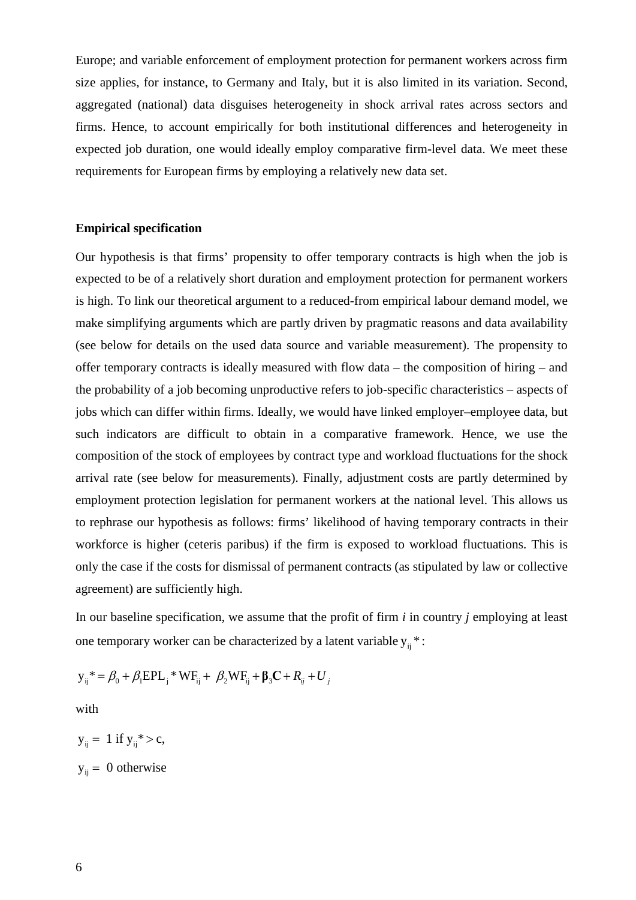Europe; and variable enforcement of employment protection for permanent workers across firm size applies, for instance, to Germany and Italy, but it is also limited in its variation. Second, aggregated (national) data disguises heterogeneity in shock arrival rates across sectors and firms. Hence, to account empirically for both institutional differences and heterogeneity in expected job duration, one would ideally employ comparative firm-level data. We meet these requirements for European firms by employing a relatively new data set.

#### **Empirical specification**

Our hypothesis is that firms' propensity to offer temporary contracts is high when the job is expected to be of a relatively short duration and employment protection for permanent workers is high. To link our theoretical argument to a reduced-from empirical labour demand model, we make simplifying arguments which are partly driven by pragmatic reasons and data availability (see below for details on the used data source and variable measurement). The propensity to offer temporary contracts is ideally measured with flow data – the composition of hiring – and the probability of a job becoming unproductive refers to job-specific characteristics – aspects of jobs which can differ within firms. Ideally, we would have linked employer–employee data, but such indicators are difficult to obtain in a comparative framework. Hence, we use the composition of the stock of employees by contract type and workload fluctuations for the shock arrival rate (see below for measurements). Finally, adjustment costs are partly determined by employment protection legislation for permanent workers at the national level. This allows us to rephrase our hypothesis as follows: firms' likelihood of having temporary contracts in their workforce is higher (ceteris paribus) if the firm is exposed to workload fluctuations. This is only the case if the costs for dismissal of permanent contracts (as stipulated by law or collective agreement) are sufficiently high.

In our baseline specification, we assume that the profit of firm *i* in country *j* employing at least one temporary worker can be characterized by a latent variable  $y_{ii}$  \*:

$$
y_{ij}^* = \beta_0 + \beta_1 EPL_j^* WR_{ij} + \beta_2 WF_{ij} + \beta_3 C + R_{ij} + U_j
$$

with

 $y_{ii} = 1$  if  $y_{ii}^* > c$ ,  $y_{ij} = 0$  otherwise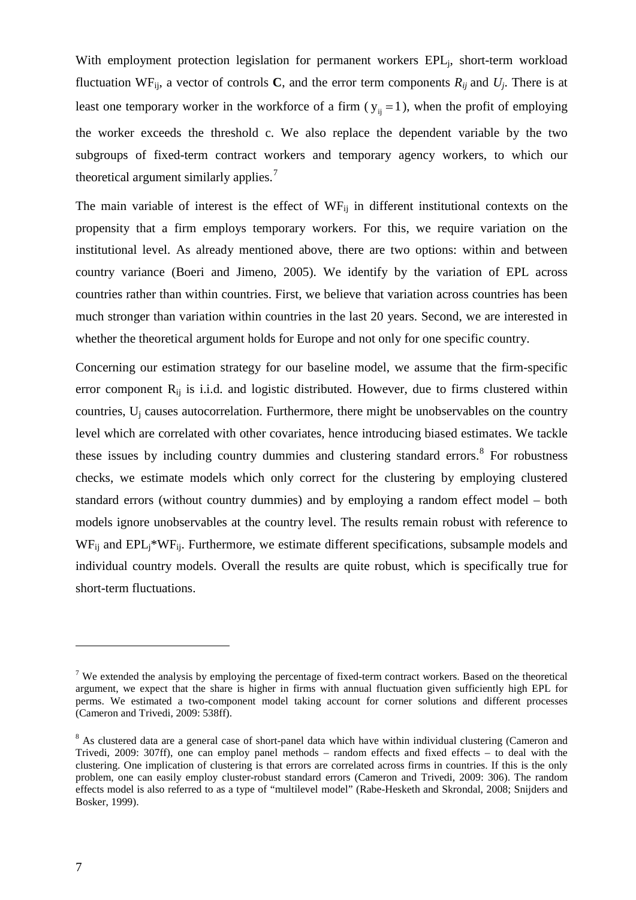With employment protection legislation for permanent workers EPL<sub>i</sub>, short-term workload fluctuation WF<sub>ij</sub>, a vector of controls **C**, and the error term components  $R_{ij}$  and  $U_j$ . There is at least one temporary worker in the workforce of a firm ( $y_{ii} = 1$ ), when the profit of employing the worker exceeds the threshold c. We also replace the dependent variable by the two subgroups of fixed-term contract workers and temporary agency workers, to which our theoretical argument similarly applies.<sup>[7](#page-6-0)</sup>

The main variable of interest is the effect of  $WF_{ii}$  in different institutional contexts on the propensity that a firm employs temporary workers. For this, we require variation on the institutional level. As already mentioned above, there are two options: within and between country variance (Boeri and Jimeno, 2005). We identify by the variation of EPL across countries rather than within countries. First, we believe that variation across countries has been much stronger than variation within countries in the last 20 years. Second, we are interested in whether the theoretical argument holds for Europe and not only for one specific country.

Concerning our estimation strategy for our baseline model, we assume that the firm-specific error component  $R_{ii}$  is i.i.d. and logistic distributed. However, due to firms clustered within countries,  $U_i$  causes autocorrelation. Furthermore, there might be unobservables on the country level which are correlated with other covariates, hence introducing biased estimates. We tackle these issues by including country dummies and clustering standard errors.<sup>[8](#page-8-0)</sup> For robustness checks, we estimate models which only correct for the clustering by employing clustered standard errors (without country dummies) and by employing a random effect model – both models ignore unobservables at the country level. The results remain robust with reference to  $WF_{ii}$  and  $EPL_i*WF_{ii}$ . Furthermore, we estimate different specifications, subsample models and individual country models. Overall the results are quite robust, which is specifically true for short-term fluctuations.

 $7$  We extended the analysis by employing the percentage of fixed-term contract workers. Based on the theoretical argument, we expect that the share is higher in firms with annual fluctuation given sufficiently high EPL for perms. We estimated a two-component model taking account for corner solutions and different processes (Cameron and Trivedi, 2009: 538ff).

<span id="page-8-1"></span><span id="page-8-0"></span><sup>&</sup>lt;sup>8</sup> As clustered data are a general case of short-panel data which have within individual clustering (Cameron and Trivedi, 2009: 307ff), one can employ panel methods – random effects and fixed effects – to deal with the clustering. One implication of clustering is that errors are correlated across firms in countries. If this is the only problem, one can easily employ cluster-robust standard errors (Cameron and Trivedi, 2009: 306). The random effects model is also referred to as a type of "multilevel model" (Rabe-Hesketh and Skrondal, 2008; Snijders and Bosker, 1999).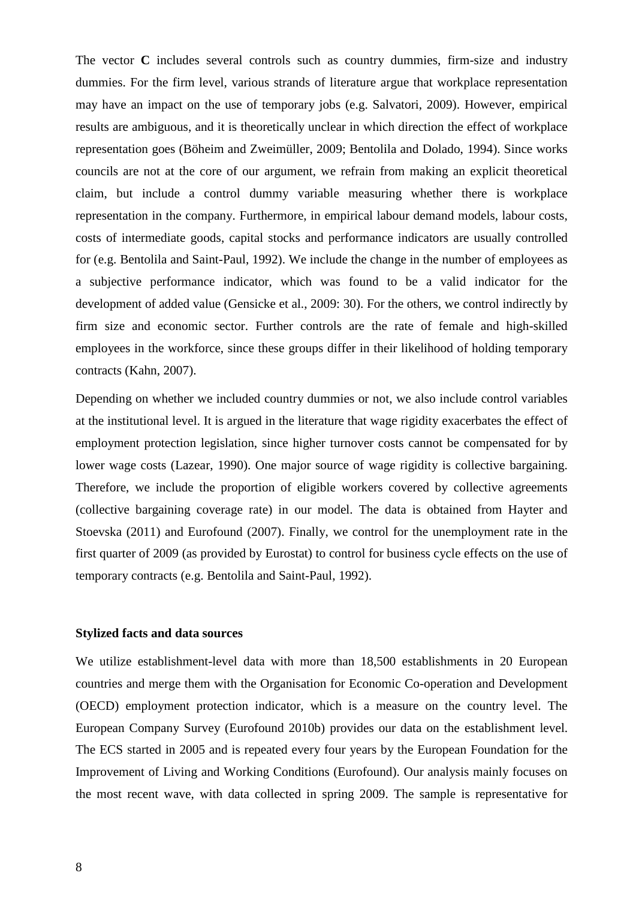The vector **C** includes several controls such as country dummies, firm-size and industry dummies. For the firm level, various strands of literature argue that workplace representation may have an impact on the use of temporary jobs (e.g. Salvatori, 2009). However, empirical results are ambiguous, and it is theoretically unclear in which direction the effect of workplace representation goes (Böheim and Zweimüller, 2009; Bentolila and Dolado, 1994). Since works councils are not at the core of our argument, we refrain from making an explicit theoretical claim, but include a control dummy variable measuring whether there is workplace representation in the company. Furthermore, in empirical labour demand models, labour costs, costs of intermediate goods, capital stocks and performance indicators are usually controlled for (e.g. Bentolila and Saint-Paul, 1992). We include the change in the number of employees as a subjective performance indicator, which was found to be a valid indicator for the development of added value (Gensicke et al., 2009: 30). For the others, we control indirectly by firm size and economic sector. Further controls are the rate of female and high-skilled employees in the workforce, since these groups differ in their likelihood of holding temporary contracts (Kahn, 2007).

Depending on whether we included country dummies or not, we also include control variables at the institutional level. It is argued in the literature that wage rigidity exacerbates the effect of employment protection legislation, since higher turnover costs cannot be compensated for by lower wage costs (Lazear, 1990). One major source of wage rigidity is collective bargaining. Therefore, we include the proportion of eligible workers covered by collective agreements (collective bargaining coverage rate) in our model. The data is obtained from Hayter and Stoevska (2011) and Eurofound (2007). Finally, we control for the unemployment rate in the first quarter of 2009 (as provided by Eurostat) to control for business cycle effects on the use of temporary contracts (e.g. Bentolila and Saint-Paul, 1992).

#### **Stylized facts and data sources**

We utilize establishment-level data with more than 18,500 establishments in 20 European countries and merge them with the Organisation for Economic Co-operation and Development (OECD) employment protection indicator, which is a measure on the country level. The European Company Survey (Eurofound 2010b) provides our data on the establishment level. The ECS started in 2005 and is repeated every four years by the European Foundation for the Improvement of Living and Working Conditions (Eurofound). Our analysis mainly focuses on the most recent wave, with data collected in spring 2009. The sample is representative for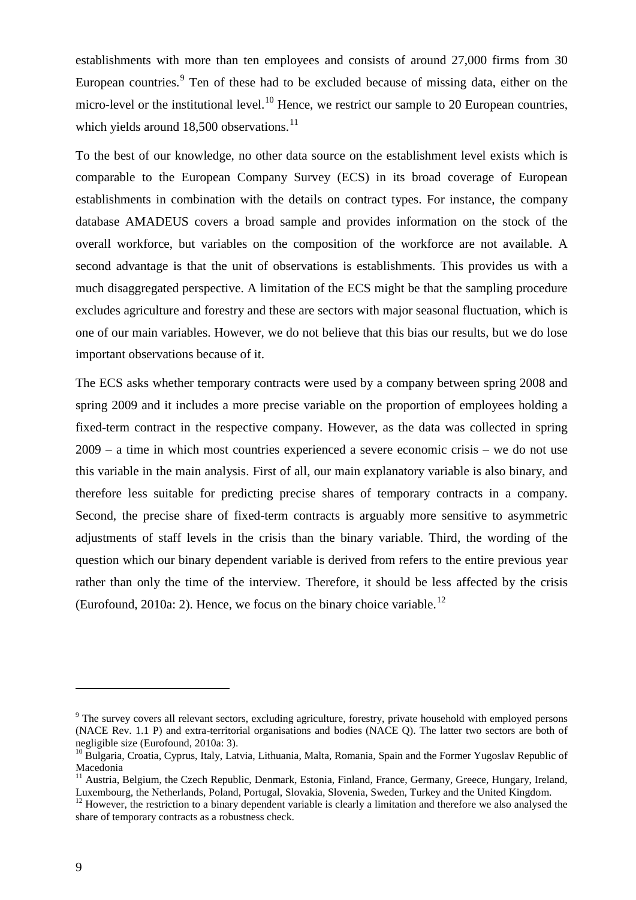establishments with more than ten employees and consists of around 27,000 firms from 30 European countries.<sup>[9](#page-8-1)</sup> Ten of these had to be excluded because of missing data, either on the micro-level or the institutional level.<sup>[10](#page-10-0)</sup> Hence, we restrict our sample to 20 European countries, which yields around  $18,500$  observations.<sup>[11](#page-10-1)</sup>

To the best of our knowledge, no other data source on the establishment level exists which is comparable to the European Company Survey (ECS) in its broad coverage of European establishments in combination with the details on contract types. For instance, the company database AMADEUS covers a broad sample and provides information on the stock of the overall workforce, but variables on the composition of the workforce are not available. A second advantage is that the unit of observations is establishments. This provides us with a much disaggregated perspective. A limitation of the ECS might be that the sampling procedure excludes agriculture and forestry and these are sectors with major seasonal fluctuation, which is one of our main variables. However, we do not believe that this bias our results, but we do lose important observations because of it.

The ECS asks whether temporary contracts were used by a company between spring 2008 and spring 2009 and it includes a more precise variable on the proportion of employees holding a fixed-term contract in the respective company. However, as the data was collected in spring 2009 – a time in which most countries experienced a severe economic crisis – we do not use this variable in the main analysis. First of all, our main explanatory variable is also binary, and therefore less suitable for predicting precise shares of temporary contracts in a company. Second, the precise share of fixed-term contracts is arguably more sensitive to asymmetric adjustments of staff levels in the crisis than the binary variable. Third, the wording of the question which our binary dependent variable is derived from refers to the entire previous year rather than only the time of the interview. Therefore, it should be less affected by the crisis (Eurofound, 2010a: 2). Hence, we focus on the binary choice variable.<sup>[12](#page-10-2)</sup>

<sup>&</sup>lt;sup>9</sup> The survey covers all relevant sectors, excluding agriculture, forestry, private household with employed persons (NACE Rev. 1.1 P) and extra-territorial organisations and bodies (NACE Q). The latter two sectors are both of negligible size (Eurofound, 2010a: 3).

<span id="page-10-0"></span><sup>&</sup>lt;sup>10</sup> Bulgaria, Croatia, Cyprus, Italy, Latvia, Lithuania, Malta, Romania, Spain and the Former Yugoslav Republic of Macedonia<br><sup>11</sup> Austria, Belgium, the Czech Republic, Denmark, Estonia, Finland, France, Germany, Greece, Hungary, Ireland,

<span id="page-10-1"></span>Luxembourg, the Netherlands, Poland, Portugal, Slovakia, Slovenia, Sweden, Turkey and the United Kingdom.

<span id="page-10-3"></span><span id="page-10-2"></span><sup>&</sup>lt;sup>12</sup> However, the restriction to a binary dependent variable is clearly a limitation and therefore we also analysed the share of temporary contracts as a robustness check.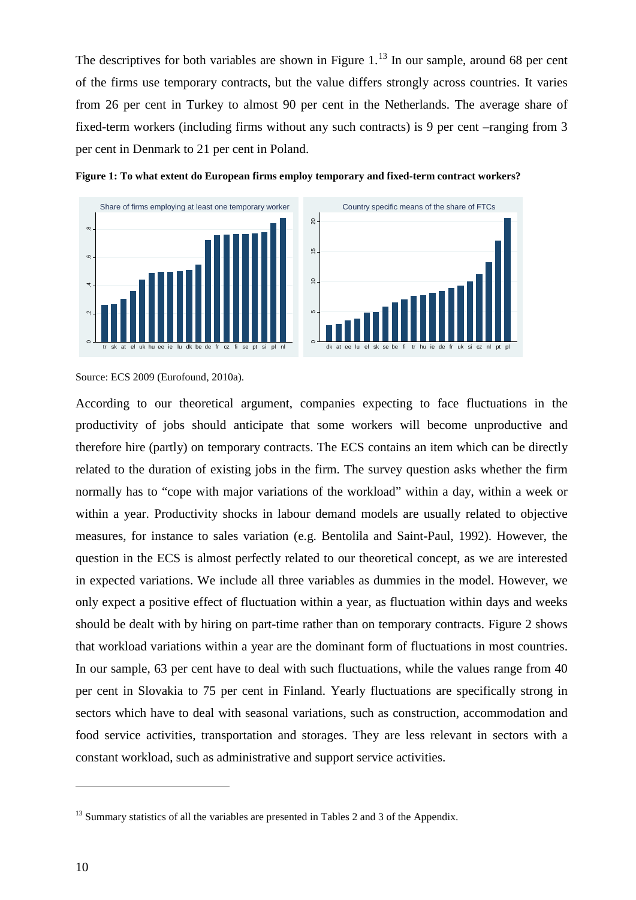The descriptives for both variables are shown in Figure  $1<sup>13</sup>$  $1<sup>13</sup>$  $1<sup>13</sup>$  In our sample, around 68 per cent of the firms use temporary contracts, but the value differs strongly across countries. It varies from 26 per cent in Turkey to almost 90 per cent in the Netherlands. The average share of fixed-term workers (including firms without any such contracts) is 9 per cent –ranging from 3 per cent in Denmark to 21 per cent in Poland.







According to our theoretical argument, companies expecting to face fluctuations in the productivity of jobs should anticipate that some workers will become unproductive and therefore hire (partly) on temporary contracts. The ECS contains an item which can be directly related to the duration of existing jobs in the firm. The survey question asks whether the firm normally has to "cope with major variations of the workload" within a day, within a week or within a year. Productivity shocks in labour demand models are usually related to objective measures, for instance to sales variation (e.g. Bentolila and Saint-Paul, 1992). However, the question in the ECS is almost perfectly related to our theoretical concept, as we are interested in expected variations. We include all three variables as dummies in the model. However, we only expect a positive effect of fluctuation within a year, as fluctuation within days and weeks should be dealt with by hiring on part-time rather than on temporary contracts. Figure 2 shows that workload variations within a year are the dominant form of fluctuations in most countries. In our sample, 63 per cent have to deal with such fluctuations, while the values range from 40 per cent in Slovakia to 75 per cent in Finland. Yearly fluctuations are specifically strong in sectors which have to deal with seasonal variations, such as construction, accommodation and food service activities, transportation and storages. They are less relevant in sectors with a constant workload, such as administrative and support service activities.

Source: ECS 2009 (Eurofound, 2010a).

<span id="page-11-0"></span> $13$  Summary statistics of all the variables are presented in Tables 2 and 3 of the Appendix.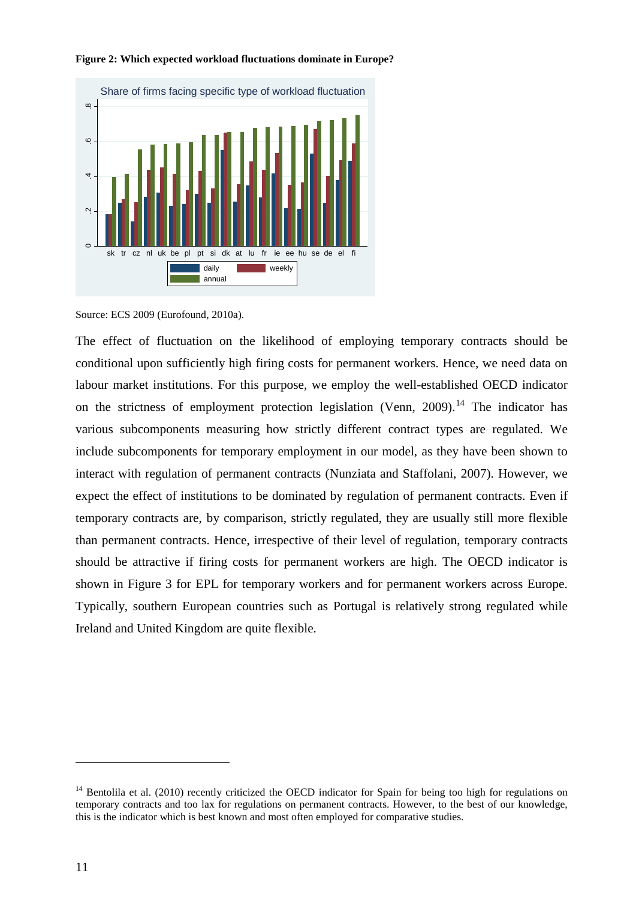

#### **Figure 2: Which expected workload fluctuations dominate in Europe?**

The effect of fluctuation on the likelihood of employing temporary contracts should be conditional upon sufficiently high firing costs for permanent workers. Hence, we need data on labour market institutions. For this purpose, we employ the well-established OECD indicator on the strictness of employment protection legislation (Venn,  $2009$ ).<sup>[14](#page-11-0)</sup> The indicator has various subcomponents measuring how strictly different contract types are regulated. We include subcomponents for temporary employment in our model, as they have been shown to interact with regulation of permanent contracts (Nunziata and Staffolani, 2007). However, we expect the effect of institutions to be dominated by regulation of permanent contracts. Even if temporary contracts are, by comparison, strictly regulated, they are usually still more flexible than permanent contracts. Hence, irrespective of their level of regulation, temporary contracts should be attractive if firing costs for permanent workers are high. The OECD indicator is shown in Figure 3 for EPL for temporary workers and for permanent workers across Europe. Typically, southern European countries such as Portugal is relatively strong regulated while Ireland and United Kingdom are quite flexible.

Source: ECS 2009 (Eurofound, 2010a).

<span id="page-12-0"></span><sup>&</sup>lt;sup>14</sup> Bentolila et al. (2010) recently criticized the OECD indicator for Spain for being too high for regulations on temporary contracts and too lax for regulations on permanent contracts. However, to the best of our knowledge, this is the indicator which is best known and most often employed for comparative studies.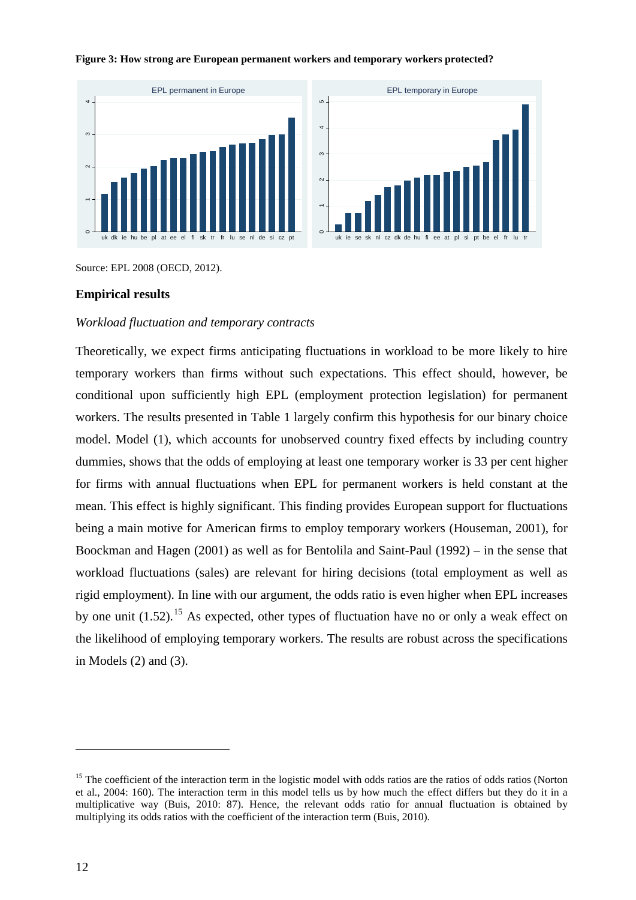

#### **Figure 3: How strong are European permanent workers and temporary workers protected?**

Source: EPL 2008 (OECD, 2012).

#### **Empirical results**

#### *Workload fluctuation and temporary contracts*

Theoretically, we expect firms anticipating fluctuations in workload to be more likely to hire temporary workers than firms without such expectations. This effect should, however, be conditional upon sufficiently high EPL (employment protection legislation) for permanent workers. The results presented in Table 1 largely confirm this hypothesis for our binary choice model. Model (1), which accounts for unobserved country fixed effects by including country dummies, shows that the odds of employing at least one temporary worker is 33 per cent higher for firms with annual fluctuations when EPL for permanent workers is held constant at the mean. This effect is highly significant. This finding provides European support for fluctuations being a main motive for American firms to employ temporary workers (Houseman, 2001), for Boockman and Hagen (2001) as well as for Bentolila and Saint-Paul (1992) – in the sense that workload fluctuations (sales) are relevant for hiring decisions (total employment as well as rigid employment). In line with our argument, the odds ratio is even higher when EPL increases by one unit  $(1.52)$ .<sup>[15](#page-12-0)</sup> As expected, other types of fluctuation have no or only a weak effect on the likelihood of employing temporary workers. The results are robust across the specifications in Models (2) and (3).

<span id="page-13-0"></span><sup>&</sup>lt;sup>15</sup> The coefficient of the interaction term in the logistic model with odds ratios are the ratios of odds ratios (Norton et al., 2004: 160). The interaction term in this model tells us by how much the effect differs but they do it in a multiplicative way (Buis, 2010: 87). Hence, the relevant odds ratio for annual fluctuation is obtained by multiplying its odds ratios with the coefficient of the interaction term (Buis, 2010).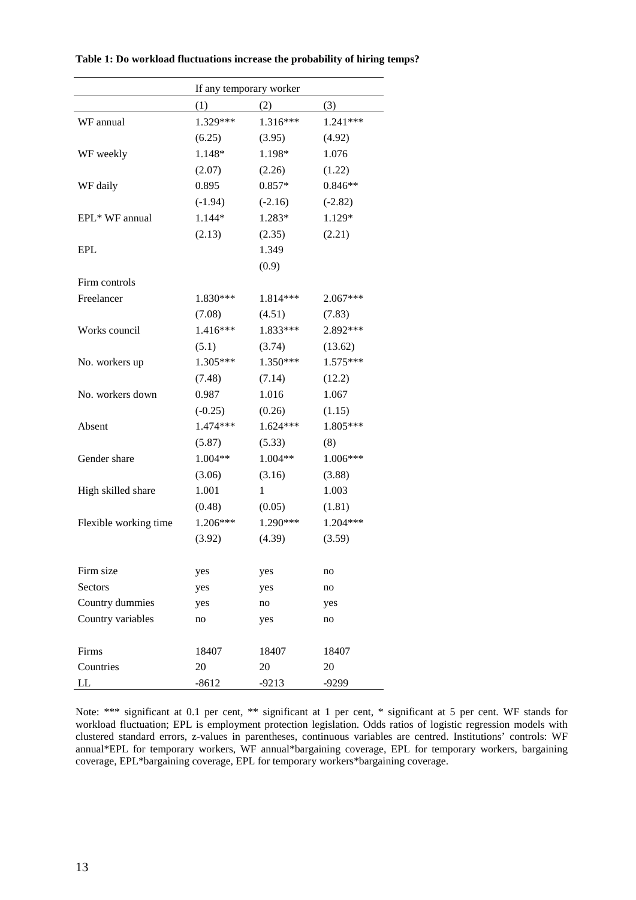|                       |           | If any temporary worker |            |
|-----------------------|-----------|-------------------------|------------|
|                       | (1)       | (2)                     | (3)        |
| WF annual             | 1.329***  | 1.316***                | 1.241***   |
|                       | (6.25)    | (3.95)                  | (4.92)     |
| WF weekly             | 1.148*    | 1.198*                  | 1.076      |
|                       | (2.07)    | (2.26)                  | (1.22)     |
| WF daily              | 0.895     | $0.857*$                | $0.846**$  |
|                       | $(-1.94)$ | $(-2.16)$               | $(-2.82)$  |
| EPL* WF annual        | 1.144*    | 1.283*                  | 1.129*     |
|                       | (2.13)    | (2.35)                  | (2.21)     |
| <b>EPL</b>            |           | 1.349                   |            |
|                       |           | (0.9)                   |            |
| Firm controls         |           |                         |            |
| Freelancer            | 1.830***  | 1.814***                | $2.067***$ |
|                       | (7.08)    | (4.51)                  | (7.83)     |
| Works council         | 1.416***  | 1.833***                | 2.892***   |
|                       | (5.1)     | (3.74)                  | (13.62)    |
| No. workers up        | 1.305***  | 1.350***                | 1.575***   |
|                       | (7.48)    | (7.14)                  | (12.2)     |
| No. workers down      | 0.987     | 1.016                   | 1.067      |
|                       | $(-0.25)$ | (0.26)                  | (1.15)     |
| Absent                | 1.474***  | 1.624***                | 1.805***   |
|                       | (5.87)    | (5.33)                  | (8)        |
| Gender share          | 1.004**   | 1.004**                 | 1.006***   |
|                       | (3.06)    | (3.16)                  | (3.88)     |
| High skilled share    | 1.001     | 1                       | 1.003      |
|                       | (0.48)    | (0.05)                  | (1.81)     |
| Flexible working time | 1.206***  | 1.290***                | 1.204***   |
|                       | (3.92)    | (4.39)                  | (3.59)     |
|                       |           |                         |            |
| Firm size             | yes       | yes                     | no         |
| Sectors               | yes       | yes                     | no         |
| Country dummies       | yes       | no                      | yes        |
| Country variables     | no        | yes                     | no         |
| Firms                 | 18407     | 18407                   | 18407      |
| Countries             | 20        | 20                      | 20         |
| LL                    | $-8612$   | $-9213$                 | $-9299$    |
|                       |           |                         |            |

**Table 1: Do workload fluctuations increase the probability of hiring temps?**

Note: \*\*\* significant at 0.1 per cent, \*\* significant at 1 per cent, \* significant at 5 per cent. WF stands for workload fluctuation; EPL is employment protection legislation. Odds ratios of logistic regression models with clustered standard errors, z-values in parentheses, continuous variables are centred. Institutions' controls: WF annual\*EPL for temporary workers, WF annual\*bargaining coverage, EPL for temporary workers, bargaining coverage, EPL\*bargaining coverage, EPL for temporary workers\*bargaining coverage.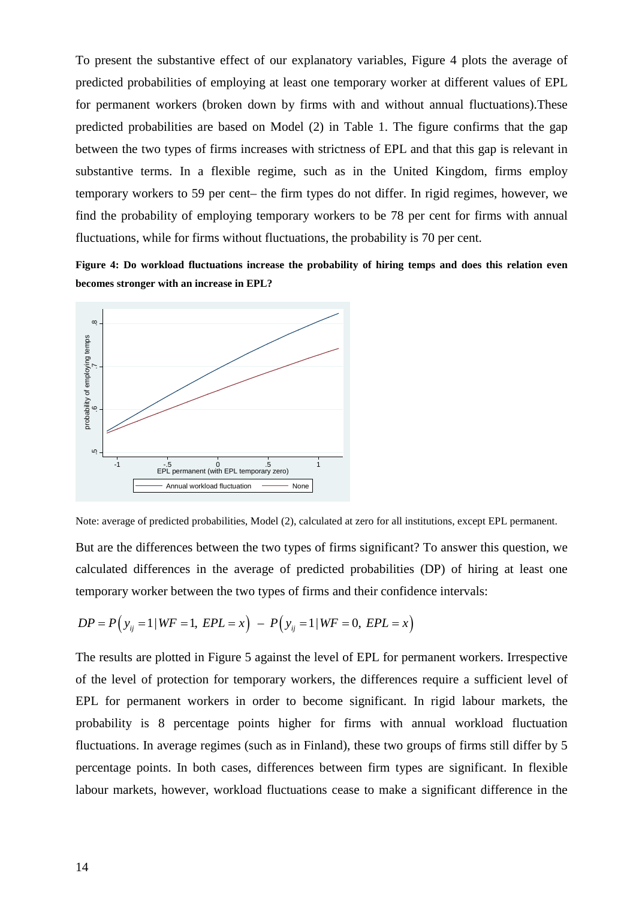To present the substantive effect of our explanatory variables, Figure 4 plots the average of predicted probabilities of employing at least one temporary worker at different values of EPL for permanent workers (broken down by firms with and without annual fluctuations).These predicted probabilities are based on Model (2) in Table 1. The figure confirms that the gap between the two types of firms increases with strictness of EPL and that this gap is relevant in substantive terms. In a flexible regime, such as in the United Kingdom, firms employ temporary workers to 59 per cent– the firm types do not differ. In rigid regimes, however, we find the probability of employing temporary workers to be 78 per cent for firms with annual fluctuations, while for firms without fluctuations, the probability is 70 per cent.

**Figure 4: Do workload fluctuations increase the probability of hiring temps and does this relation even becomes stronger with an increase in EPL?**



Note: average of predicted probabilities, Model (2), calculated at zero for all institutions, except EPL permanent.

But are the differences between the two types of firms significant? To answer this question, we calculated differences in the average of predicted probabilities (DP) of hiring at least one temporary worker between the two types of firms and their confidence intervals:

$$
DP = P(y_{ij} = 1 | WF = 1, EPL = x) - P(y_{ij} = 1 | WF = 0, EPL = x)
$$

The results are plotted in Figure 5 against the level of EPL for permanent workers. Irrespective of the level of protection for temporary workers, the differences require a sufficient level of EPL for permanent workers in order to become significant. In rigid labour markets, the probability is 8 percentage points higher for firms with annual workload fluctuation fluctuations. In average regimes (such as in Finland), these two groups of firms still differ by 5 percentage points. In both cases, differences between firm types are significant. In flexible Bour markets, however, workload fluctuations cease to make a significant? To answer fluctuations cease the differences hetween the two types of firms significant? To answer this question, we calculated differences hetween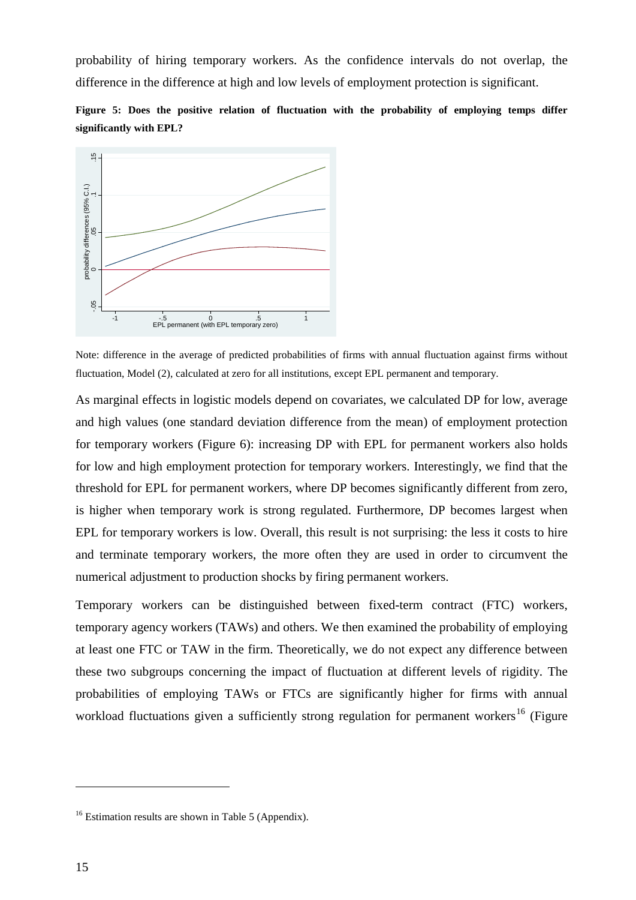probability of hiring temporary workers. As the confidence intervals do not overlap, the difference in the difference at high and low levels of employment protection is significant.





Note: difference in the average of predicted probabilities of firms with annual fluctuation against firms without fluctuation, Model (2), calculated at zero for all institutions, except EPL permanent and temporary.

As marginal effects in logistic models depend on covariates, we calculated DP for low, average and high values (one standard deviation difference from the mean) of employment protection for temporary workers (Figure 6): increasing DP with EPL for permanent workers also holds for low and high employment protection for temporary workers. Interestingly, we find that the threshold for EPL for permanent workers, where DP becomes significantly different from zero, is higher when temporary work is strong regulated. Furthermore, DP becomes largest when EPL for temporary workers is low. Overall, this result is not surprising: the less it costs to hire and terminate temporary workers, the more often they are used in order to circumvent the numerical adjustment to production shocks by firing permanent workers. THE STREET THE MANUTE OF STREET THE SERVICE CONDITION RANGER CONSIDERATION ROLL OF CONSIDERATION RANGER IN DEPTHDENTION AS MATERIAL AS marginal effects in logistic models depended at a sero for all instituted are shown and

Temporary workers can be distinguished between fixed-term contract (FTC) workers, temporary agency workers (TAWs) and others. We then examined the probability of employing at least one FTC or TAW in the firm. Theoretically, we do not expect any difference between these two subgroups concerning the impact of fluctuation at different levels of rigidity. The probabilities of employing TAWs or FTCs are significantly higher for firms with annual workload fluctuations given a sufficiently strong regulation for permanent workers<sup>[16](#page-13-0)</sup> (Figure

<span id="page-16-0"></span>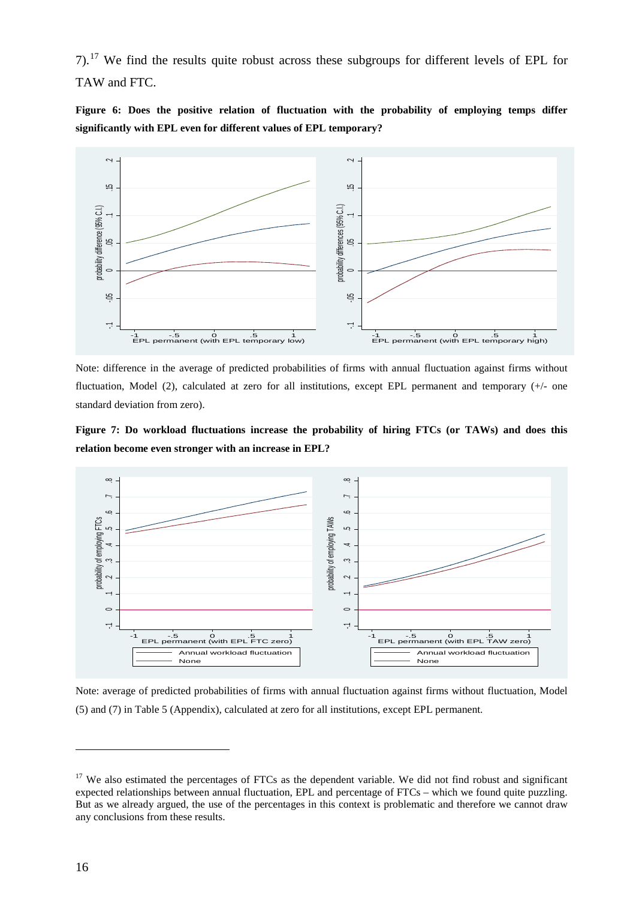7).[17](#page-16-0) We find the results quite robust across these subgroups for different levels of EPL for TAW and FTC.

**Figure 6: Does the positive relation of fluctuation with the probability of employing temps differ significantly with EPL even for different values of EPL temporary?**



Note: difference in the average of predicted probabilities of firms with annual fluctuation against firms without fluctuation, Model (2), calculated at zero for all institutions, except EPL permanent and temporary (+/- one standard deviation from zero).

**Figure 7: Do workload fluctuations increase the probability of hiring FTCs (or TAWs) and does this relation become even stronger with an increase in EPL?**



Note: average of predicted probabilities of firms with annual fluctuation against firms without fluctuation, Model (5) and (7) in Table 5 (Appendix), calculated at zero for all institutions, except EPL permanent.

<span id="page-17-0"></span><sup>&</sup>lt;sup>17</sup> We also estimated the percentages of FTCs as the dependent variable. We did not find robust and significant expected relationships between annual fluctuation, EPL and percentage of FTCs – which we found quite puzzling. But as we already argued, the use of the percentages in this context is problematic and therefore we cannot draw any conclusions from these results.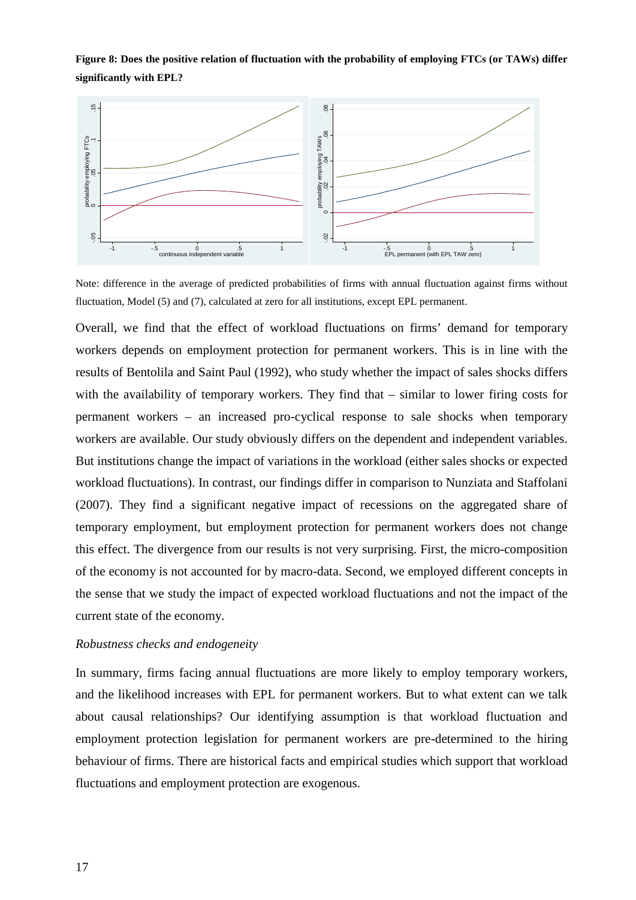**Figure 8: Does the positive relation of fluctuation with the probability of employing FTCs (or TAWs) differ significantly with EPL?**



Note: difference in the average of predicted probabilities of firms with annual fluctuation against firms without fluctuation, Model (5) and (7), calculated at zero for all institutions, except EPL permanent.

Overall, we find that the effect of workload fluctuations on firms' demand for temporary workers depends on employment protection for permanent workers. This is in line with the results of Bentolila and Saint Paul (1992), who study whether the impact of sales shocks differs with the availability of temporary workers. They find that – similar to lower firing costs for permanent workers – an increased pro-cyclical response to sale shocks when temporary workers are available. Our study obviously differs on the dependent and independent variables. But institutions change the impact of variations in the workload (either sales shocks or expected workload fluctuations). In contrast, our findings differ in comparison to Nunziata and Staffolani (2007). They find a significant negative impact of recessions on the aggregated share of temporary employment, but employment protection for permanent workers does not change this effect. The divergence from our results is not very surprising. First, the micro-composition of the economy is not accounted for by macro-data. Second, we employed different concepts in the sense that we study the impact of expected workload fluctuations and not the impact of the current state of the economy. Framework and the average of predicted probabilities of firms are exogenous. About 15 community are expected probabilities of firms throughout are for the average of predicted probabilities of firms throughout and the effe

#### *Robustness checks and endogeneity*

In summary, firms facing annual fluctuations are more likely to employ temporary workers, and the likelihood increases with EPL for permanent workers. But to what extent can we talk about causal relationships? Our identifying assumption is that workload fluctuation and employment protection legislation for permanent workers are pre-determined to the hiring behaviour of firms. There are historical facts and empirical studies which support that workload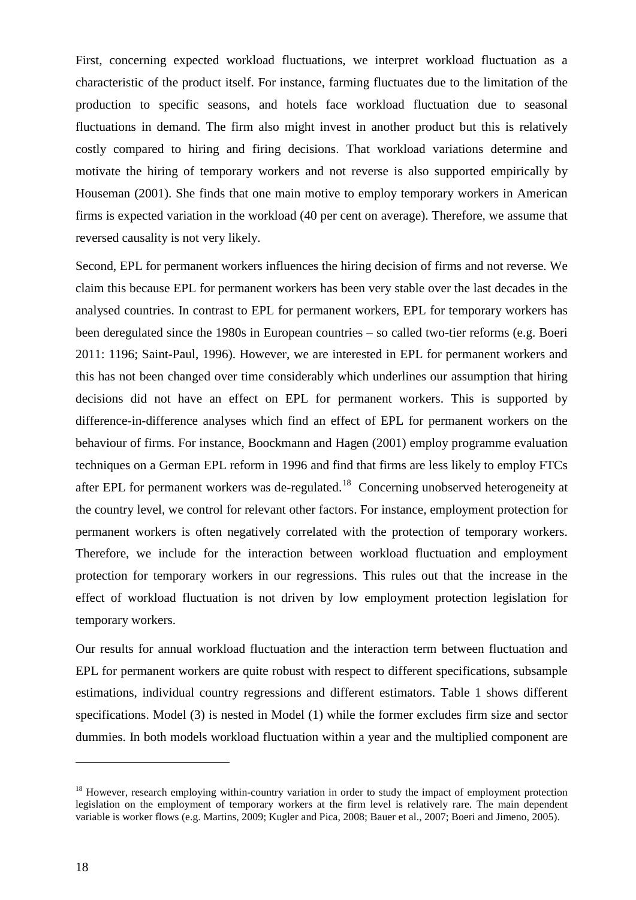First, concerning expected workload fluctuations, we interpret workload fluctuation as a characteristic of the product itself. For instance, farming fluctuates due to the limitation of the production to specific seasons, and hotels face workload fluctuation due to seasonal fluctuations in demand. The firm also might invest in another product but this is relatively costly compared to hiring and firing decisions. That workload variations determine and motivate the hiring of temporary workers and not reverse is also supported empirically by Houseman (2001). She finds that one main motive to employ temporary workers in American firms is expected variation in the workload (40 per cent on average). Therefore, we assume that reversed causality is not very likely.

Second, EPL for permanent workers influences the hiring decision of firms and not reverse. We claim this because EPL for permanent workers has been very stable over the last decades in the analysed countries. In contrast to EPL for permanent workers, EPL for temporary workers has been deregulated since the 1980s in European countries – so called two-tier reforms (e.g. Boeri 2011: 1196; Saint-Paul, 1996). However, we are interested in EPL for permanent workers and this has not been changed over time considerably which underlines our assumption that hiring decisions did not have an effect on EPL for permanent workers. This is supported by difference-in-difference analyses which find an effect of EPL for permanent workers on the behaviour of firms. For instance, Boockmann and Hagen (2001) employ programme evaluation techniques on a German EPL reform in 1996 and find that firms are less likely to employ FTCs after EPL for permanent workers was de-regulated.<sup>[18](#page-17-0)</sup> Concerning unobserved heterogeneity at the country level, we control for relevant other factors. For instance, employment protection for permanent workers is often negatively correlated with the protection of temporary workers. Therefore, we include for the interaction between workload fluctuation and employment protection for temporary workers in our regressions. This rules out that the increase in the effect of workload fluctuation is not driven by low employment protection legislation for temporary workers.

Our results for annual workload fluctuation and the interaction term between fluctuation and EPL for permanent workers are quite robust with respect to different specifications, subsample estimations, individual country regressions and different estimators. Table 1 shows different specifications. Model (3) is nested in Model (1) while the former excludes firm size and sector dummies. In both models workload fluctuation within a year and the multiplied component are

<sup>&</sup>lt;sup>18</sup> However, research employing within-country variation in order to study the impact of employment protection legislation on the employment of temporary workers at the firm level is relatively rare. The main dependent variable is worker flows (e.g. Martins, 2009; Kugler and Pica, 2008; Bauer et al., 2007; Boeri and Jimeno, 2005).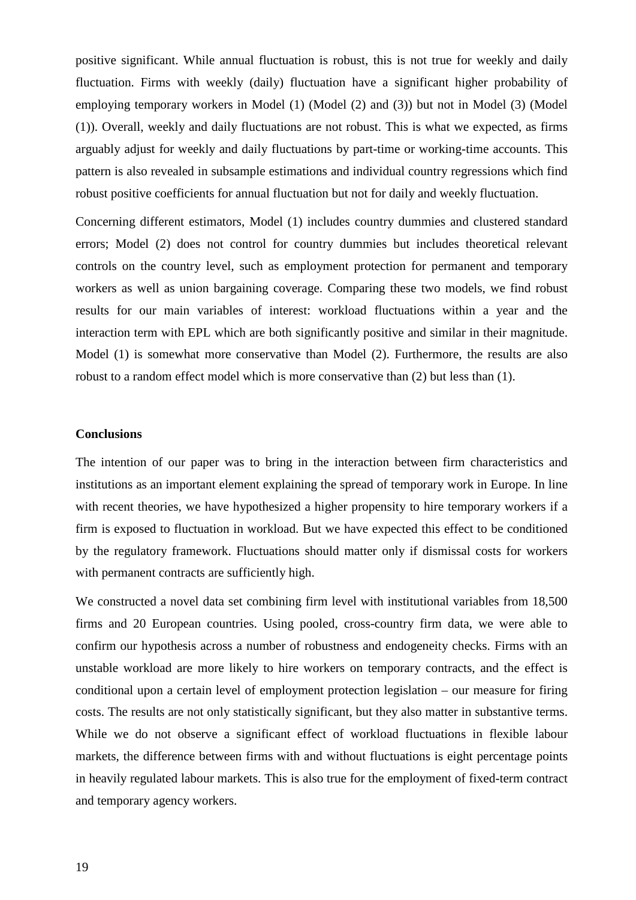positive significant. While annual fluctuation is robust, this is not true for weekly and daily fluctuation. Firms with weekly (daily) fluctuation have a significant higher probability of employing temporary workers in Model (1) (Model (2) and (3)) but not in Model (3) (Model (1)). Overall, weekly and daily fluctuations are not robust. This is what we expected, as firms arguably adjust for weekly and daily fluctuations by part-time or working-time accounts. This pattern is also revealed in subsample estimations and individual country regressions which find robust positive coefficients for annual fluctuation but not for daily and weekly fluctuation.

Concerning different estimators, Model (1) includes country dummies and clustered standard errors; Model (2) does not control for country dummies but includes theoretical relevant controls on the country level, such as employment protection for permanent and temporary workers as well as union bargaining coverage. Comparing these two models, we find robust results for our main variables of interest: workload fluctuations within a year and the interaction term with EPL which are both significantly positive and similar in their magnitude. Model (1) is somewhat more conservative than Model (2). Furthermore, the results are also robust to a random effect model which is more conservative than (2) but less than (1).

#### **Conclusions**

The intention of our paper was to bring in the interaction between firm characteristics and institutions as an important element explaining the spread of temporary work in Europe. In line with recent theories, we have hypothesized a higher propensity to hire temporary workers if a firm is exposed to fluctuation in workload. But we have expected this effect to be conditioned by the regulatory framework. Fluctuations should matter only if dismissal costs for workers with permanent contracts are sufficiently high.

We constructed a novel data set combining firm level with institutional variables from 18,500 firms and 20 European countries. Using pooled, cross-country firm data, we were able to confirm our hypothesis across a number of robustness and endogeneity checks. Firms with an unstable workload are more likely to hire workers on temporary contracts, and the effect is conditional upon a certain level of employment protection legislation – our measure for firing costs. The results are not only statistically significant, but they also matter in substantive terms. While we do not observe a significant effect of workload fluctuations in flexible labour markets, the difference between firms with and without fluctuations is eight percentage points in heavily regulated labour markets. This is also true for the employment of fixed-term contract and temporary agency workers.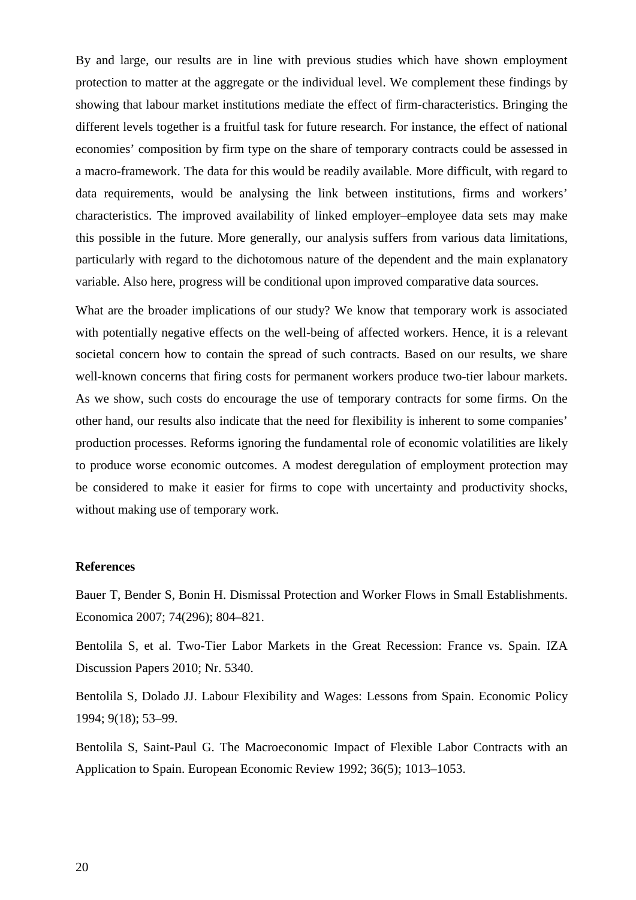By and large, our results are in line with previous studies which have shown employment protection to matter at the aggregate or the individual level. We complement these findings by showing that labour market institutions mediate the effect of firm-characteristics. Bringing the different levels together is a fruitful task for future research. For instance, the effect of national economies' composition by firm type on the share of temporary contracts could be assessed in a macro-framework. The data for this would be readily available. More difficult, with regard to data requirements, would be analysing the link between institutions, firms and workers' characteristics. The improved availability of linked employer–employee data sets may make this possible in the future. More generally, our analysis suffers from various data limitations, particularly with regard to the dichotomous nature of the dependent and the main explanatory variable. Also here, progress will be conditional upon improved comparative data sources.

What are the broader implications of our study? We know that temporary work is associated with potentially negative effects on the well-being of affected workers. Hence, it is a relevant societal concern how to contain the spread of such contracts. Based on our results, we share well-known concerns that firing costs for permanent workers produce two-tier labour markets. As we show, such costs do encourage the use of temporary contracts for some firms. On the other hand, our results also indicate that the need for flexibility is inherent to some companies' production processes. Reforms ignoring the fundamental role of economic volatilities are likely to produce worse economic outcomes. A modest deregulation of employment protection may be considered to make it easier for firms to cope with uncertainty and productivity shocks, without making use of temporary work.

#### **References**

Bauer T, Bender S, Bonin H. Dismissal Protection and Worker Flows in Small Establishments. Economica 2007; 74(296); 804–821.

Bentolila S, et al. Two-Tier Labor Markets in the Great Recession: France vs. Spain. IZA Discussion Papers 2010; Nr. 5340.

Bentolila S, Dolado JJ. Labour Flexibility and Wages: Lessons from Spain. Economic Policy 1994; 9(18); 53–99.

Bentolila S, Saint-Paul G. The Macroeconomic Impact of Flexible Labor Contracts with an Application to Spain. European Economic Review 1992; 36(5); 1013–1053.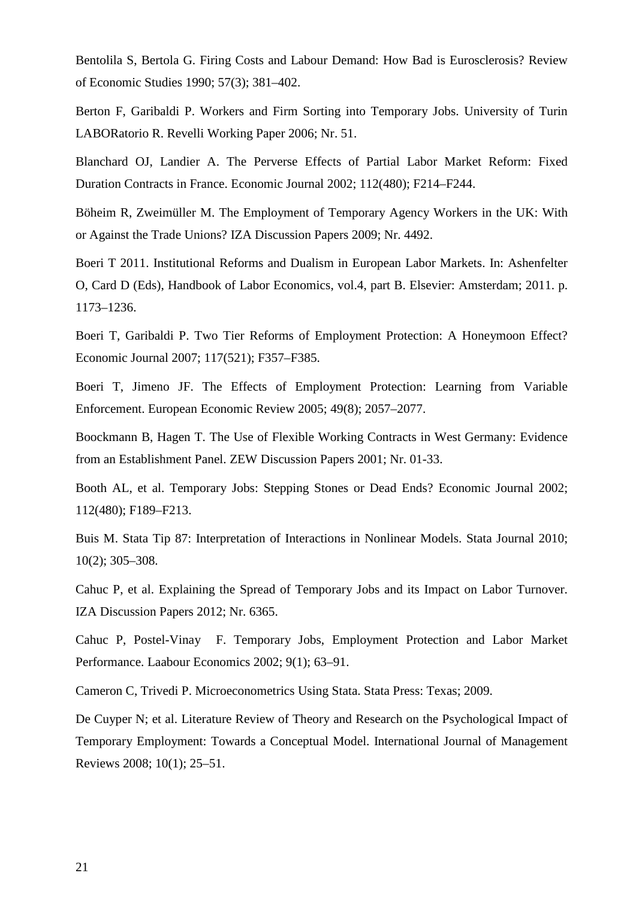Bentolila S, Bertola G. Firing Costs and Labour Demand: How Bad is Eurosclerosis? Review of Economic Studies 1990; 57(3); 381–402.

Berton F, Garibaldi P. Workers and Firm Sorting into Temporary Jobs. University of Turin LABORatorio R. Revelli Working Paper 2006; Nr. 51.

Blanchard OJ, Landier A. The Perverse Effects of Partial Labor Market Reform: Fixed Duration Contracts in France. Economic Journal 2002; 112(480); F214–F244.

Böheim R, Zweimüller M. The Employment of Temporary Agency Workers in the UK: With or Against the Trade Unions? IZA Discussion Papers 2009; Nr. 4492.

Boeri T 2011. Institutional Reforms and Dualism in European Labor Markets. In: Ashenfelter O, Card D (Eds), Handbook of Labor Economics, vol.4, part B. Elsevier: Amsterdam; 2011. p. 1173–1236.

Boeri T, Garibaldi P. Two Tier Reforms of Employment Protection: A Honeymoon Effect? Economic Journal 2007; 117(521); F357–F385.

Boeri T, Jimeno JF. The Effects of Employment Protection: Learning from Variable Enforcement. European Economic Review 2005; 49(8); 2057–2077.

Boockmann B, Hagen T. The Use of Flexible Working Contracts in West Germany: Evidence from an Establishment Panel. ZEW Discussion Papers 2001; Nr. 01-33.

Booth AL, et al. Temporary Jobs: Stepping Stones or Dead Ends? Economic Journal 2002; 112(480); F189–F213.

Buis M. Stata Tip 87: Interpretation of Interactions in Nonlinear Models. Stata Journal 2010; 10(2); 305–308.

Cahuc P, et al. Explaining the Spread of Temporary Jobs and its Impact on Labor Turnover. IZA Discussion Papers 2012; Nr. 6365.

Cahuc P, Postel-Vinay F. Temporary Jobs, Employment Protection and Labor Market Performance. Laabour Economics 2002; 9(1); 63–91.

Cameron C, Trivedi P. Microeconometrics Using Stata. Stata Press: Texas; 2009.

De Cuyper N; et al. Literature Review of Theory and Research on the Psychological Impact of Temporary Employment: Towards a Conceptual Model. International Journal of Management Reviews 2008; 10(1); 25–51.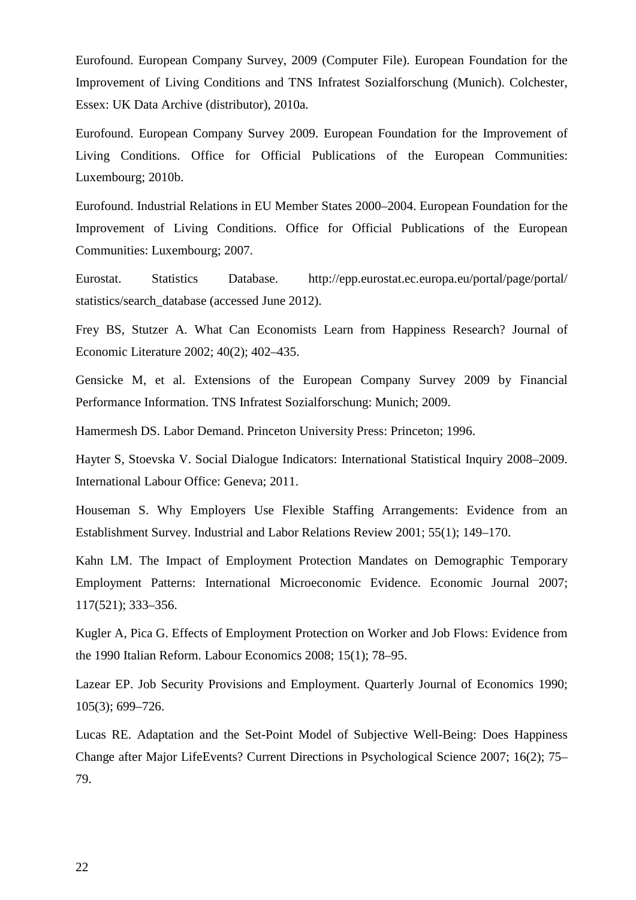Eurofound. European Company Survey, 2009 (Computer File). European Foundation for the Improvement of Living Conditions and TNS Infratest Sozialforschung (Munich). Colchester, Essex: UK Data Archive (distributor), 2010a.

Eurofound. European Company Survey 2009. European Foundation for the Improvement of Living Conditions. Office for Official Publications of the European Communities: Luxembourg; 2010b.

Eurofound. Industrial Relations in EU Member States 2000–2004. European Foundation for the Improvement of Living Conditions. Office for Official Publications of the European Communities: Luxembourg; 2007.

Eurostat. Statistics Database. http://epp.eurostat.ec.europa.eu/portal/page/portal/ statistics/search\_database (accessed June 2012).

Frey BS, Stutzer A. What Can Economists Learn from Happiness Research? Journal of Economic Literature 2002; 40(2); 402–435.

Gensicke M, et al. Extensions of the European Company Survey 2009 by Financial Performance Information. TNS Infratest Sozialforschung: Munich; 2009.

Hamermesh DS. Labor Demand. Princeton University Press: Princeton; 1996.

Hayter S, Stoevska V. Social Dialogue Indicators: International Statistical Inquiry 2008–2009. International Labour Office: Geneva; 2011.

Houseman S. Why Employers Use Flexible Staffing Arrangements: Evidence from an Establishment Survey. Industrial and Labor Relations Review 2001; 55(1); 149–170.

Kahn LM. The Impact of Employment Protection Mandates on Demographic Temporary Employment Patterns: International Microeconomic Evidence. Economic Journal 2007; 117(521); 333–356.

Kugler A, Pica G. Effects of Employment Protection on Worker and Job Flows: Evidence from the 1990 Italian Reform. Labour Economics 2008; 15(1); 78–95.

Lazear EP. Job Security Provisions and Employment. Quarterly Journal of Economics 1990; 105(3); 699–726.

Lucas RE. Adaptation and the Set-Point Model of Subjective Well-Being: Does Happiness Change after Major LifeEvents? Current Directions in Psychological Science 2007; 16(2); 75– 79.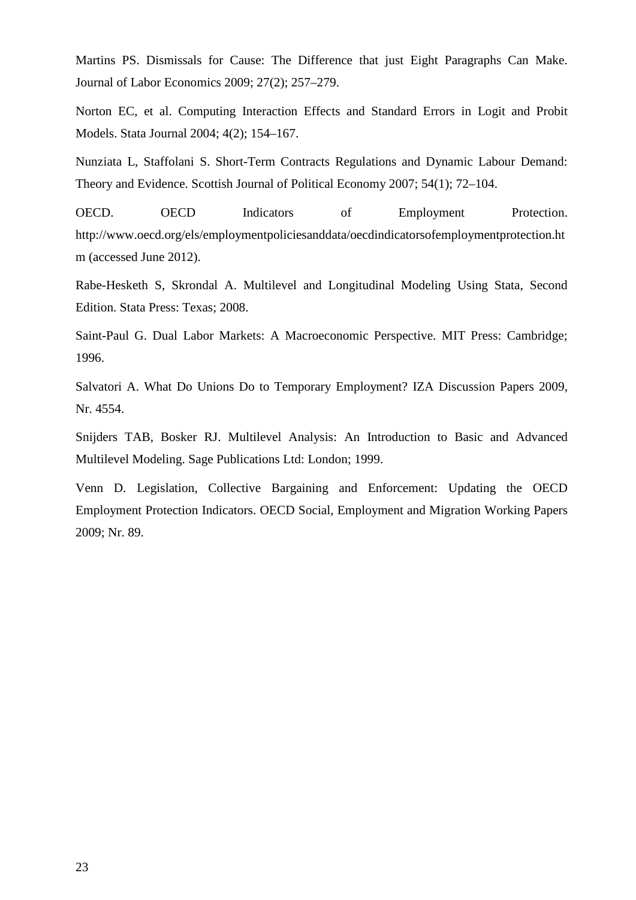Martins PS. Dismissals for Cause: The Difference that just Eight Paragraphs Can Make. Journal of Labor Economics 2009; 27(2); 257–279.

Norton EC, et al. Computing Interaction Effects and Standard Errors in Logit and Probit Models. Stata Journal 2004; 4(2); 154–167.

Nunziata L, Staffolani S. Short-Term Contracts Regulations and Dynamic Labour Demand: Theory and Evidence. Scottish Journal of Political Economy 2007; 54(1); 72–104.

OECD. OECD Indicators of Employment Protection. http://www.oecd.org/els/employmentpoliciesanddata/oecdindicatorsofemploymentprotection.ht m (accessed June 2012).

Rabe-Hesketh S, Skrondal A. Multilevel and Longitudinal Modeling Using Stata, Second Edition. Stata Press: Texas; 2008.

Saint-Paul G. Dual Labor Markets: A Macroeconomic Perspective. MIT Press: Cambridge; 1996.

Salvatori A. What Do Unions Do to Temporary Employment? IZA Discussion Papers 2009, Nr. 4554.

Snijders TAB, Bosker RJ. Multilevel Analysis: An Introduction to Basic and Advanced Multilevel Modeling. Sage Publications Ltd: London; 1999.

Venn D. Legislation, Collective Bargaining and Enforcement: Updating the OECD Employment Protection Indicators. OECD Social, Employment and Migration Working Papers 2009; Nr. 89.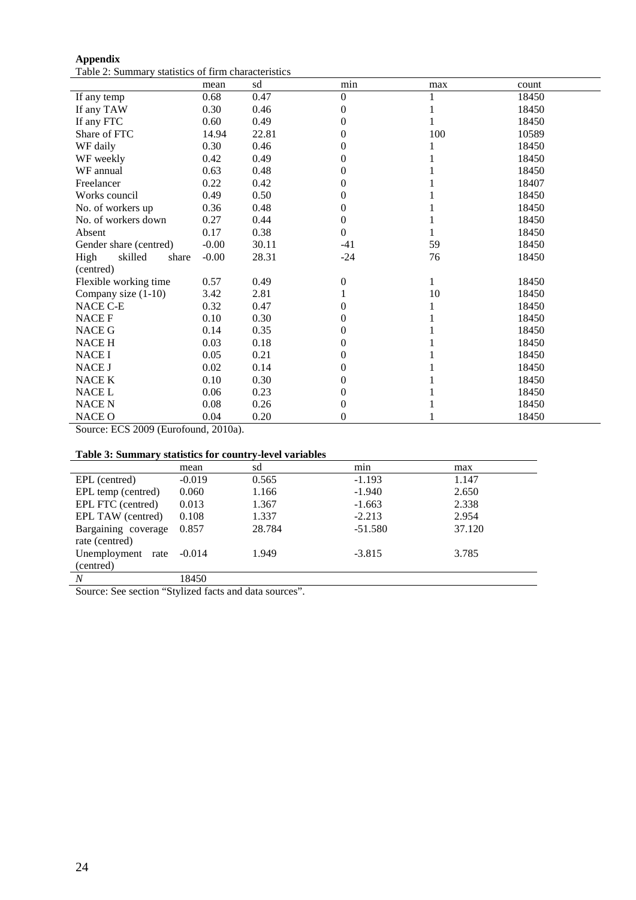| <b>Appendix</b> |                                                     |
|-----------------|-----------------------------------------------------|
|                 | Table 2: Summary statistics of firm characteristics |

|                          | mean    | sd    | min              | max | count |
|--------------------------|---------|-------|------------------|-----|-------|
| If any temp              | 0.68    | 0.47  | $\boldsymbol{0}$ |     | 18450 |
| If any TAW               | 0.30    | 0.46  | 0                |     | 18450 |
| If any FTC               | 0.60    | 0.49  | $\overline{0}$   |     | 18450 |
| Share of FTC             | 14.94   | 22.81 | 0                | 100 | 10589 |
| WF daily                 | 0.30    | 0.46  | $\overline{0}$   |     | 18450 |
| WF weekly                | 0.42    | 0.49  | $\overline{0}$   |     | 18450 |
| WF annual                | 0.63    | 0.48  | $\overline{0}$   |     | 18450 |
| Freelancer               | 0.22    | 0.42  | 0                |     | 18407 |
| Works council            | 0.49    | 0.50  | $\overline{0}$   |     | 18450 |
| No. of workers up        | 0.36    | 0.48  | $\overline{0}$   |     | 18450 |
| No. of workers down      | 0.27    | 0.44  | $\boldsymbol{0}$ |     | 18450 |
| Absent                   | 0.17    | 0.38  | $\boldsymbol{0}$ |     | 18450 |
| Gender share (centred)   | $-0.00$ | 30.11 | $-41$            | 59  | 18450 |
| High<br>skilled<br>share | $-0.00$ | 28.31 | $-24$            | 76  | 18450 |
| (centred)                |         |       |                  |     |       |
| Flexible working time    | 0.57    | 0.49  | 0                |     | 18450 |
| Company size $(1-10)$    | 3.42    | 2.81  |                  | 10  | 18450 |
| NACE C-E                 | 0.32    | 0.47  | $\overline{0}$   |     | 18450 |
| <b>NACEF</b>             | 0.10    | 0.30  | $\boldsymbol{0}$ |     | 18450 |
| <b>NACE G</b>            | 0.14    | 0.35  | 0                |     | 18450 |
| <b>NACE H</b>            | 0.03    | 0.18  | $\overline{0}$   |     | 18450 |
| <b>NACE I</b>            | 0.05    | 0.21  | $\overline{0}$   |     | 18450 |
| NACE J                   | 0.02    | 0.14  | 0                |     | 18450 |
| NACE K                   | 0.10    | 0.30  | 0                |     | 18450 |
| <b>NACE L</b>            | 0.06    | 0.23  | 0                |     | 18450 |
| <b>NACE N</b>            | 0.08    | 0.26  | 0                |     | 18450 |
| <b>NACE O</b>            | 0.04    | 0.20  | $\boldsymbol{0}$ |     | 18450 |

Source: ECS 2009 (Eurofound, 2010a).

### **Table 3: Summary statistics for country-level variables**

|                                       | mean                                         | sd     | min       | max    |
|---------------------------------------|----------------------------------------------|--------|-----------|--------|
| EPL (centred)                         | $-0.019$                                     | 0.565  | $-1.193$  | 1.147  |
| EPL temp (centred)                    | 0.060                                        | 1.166  | $-1.940$  | 2.650  |
| EPL FTC (centred)                     | 0.013                                        | 1.367  | $-1.663$  | 2.338  |
| EPL TAW (centred)                     | 0.108                                        | 1.337  | $-2.213$  | 2.954  |
| Bargaining coverage<br>rate (centred) | 0.857                                        | 28.784 | $-51.580$ | 37.120 |
| Unemployment rate                     | $-0.014$                                     | 1.949  | $-3.815$  | 3.785  |
| (centred)                             |                                              |        |           |        |
| $\boldsymbol{N}$                      | 18450                                        |        |           |        |
| $\sim$<br>$\sim$                      | $\ell(\alpha + 1)$ 1 $\alpha$ 1 1 1 $\alpha$ |        |           |        |

Source: See section "Stylized facts and data sources".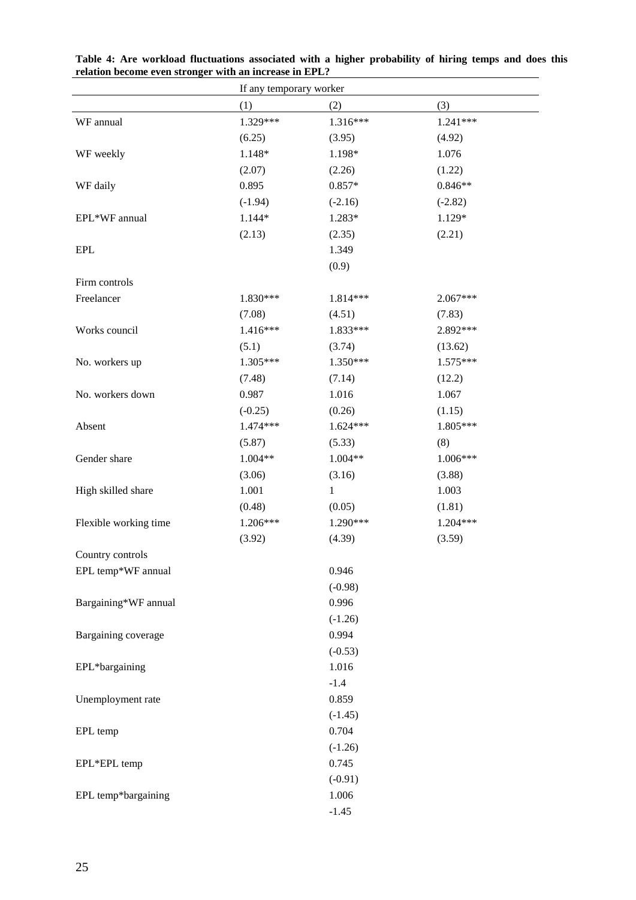|                       | If any temporary worker |              |            |  |
|-----------------------|-------------------------|--------------|------------|--|
|                       | (1)                     | (2)          | (3)        |  |
| WF annual             | 1.329***                | 1.316***     | 1.241***   |  |
|                       | (6.25)                  | (3.95)       | (4.92)     |  |
| WF weekly             | 1.148*                  | 1.198*       | 1.076      |  |
|                       | (2.07)                  | (2.26)       | (1.22)     |  |
| WF daily              | 0.895                   | $0.857*$     | $0.846**$  |  |
|                       | $(-1.94)$               | $(-2.16)$    | $(-2.82)$  |  |
| EPL*WF annual         | 1.144*                  | 1.283*       | 1.129*     |  |
|                       | (2.13)                  | (2.35)       | (2.21)     |  |
| <b>EPL</b>            |                         | 1.349        |            |  |
|                       |                         | (0.9)        |            |  |
| Firm controls         |                         |              |            |  |
| Freelancer            | 1.830***                | 1.814***     | $2.067***$ |  |
|                       | (7.08)                  | (4.51)       | (7.83)     |  |
| Works council         | 1.416***                | 1.833***     | 2.892***   |  |
|                       | (5.1)                   | (3.74)       | (13.62)    |  |
| No. workers up        | 1.305***                | 1.350***     | 1.575***   |  |
|                       | (7.48)                  | (7.14)       | (12.2)     |  |
| No. workers down      | 0.987                   | 1.016        | 1.067      |  |
|                       | $(-0.25)$               | (0.26)       | (1.15)     |  |
| Absent                | 1.474 ***               | 1.624***     | 1.805***   |  |
|                       | (5.87)                  | (5.33)       | (8)        |  |
| Gender share          | 1.004**                 | 1.004**      | 1.006***   |  |
|                       | (3.06)                  | (3.16)       | (3.88)     |  |
| High skilled share    | 1.001                   | $\mathbf{1}$ | 1.003      |  |
|                       | (0.48)                  | (0.05)       | (1.81)     |  |
| Flexible working time | 1.206***                | 1.290***     | 1.204***   |  |
|                       | (3.92)                  | (4.39)       | (3.59)     |  |
| Country controls      |                         |              |            |  |
| EPL temp*WF annual    |                         | 0.946        |            |  |
|                       |                         | $(-0.98)$    |            |  |
| Bargaining*WF annual  |                         | 0.996        |            |  |
|                       |                         | $(-1.26)$    |            |  |
| Bargaining coverage   |                         | 0.994        |            |  |
|                       |                         | $(-0.53)$    |            |  |
| EPL*bargaining        |                         | 1.016        |            |  |
|                       |                         | $-1.4$       |            |  |
| Unemployment rate     |                         | 0.859        |            |  |
|                       |                         | $(-1.45)$    |            |  |
| EPL temp              |                         | 0.704        |            |  |
|                       |                         | $(-1.26)$    |            |  |
| EPL*EPL temp          |                         | 0.745        |            |  |
|                       |                         | $(-0.91)$    |            |  |
| EPL temp*bargaining   |                         | 1.006        |            |  |
|                       |                         | $-1.45$      |            |  |

**Table 4: Are workload fluctuations associated with a higher probability of hiring temps and does this relation become even stronger with an increase in EPL?**  $\overline{a}$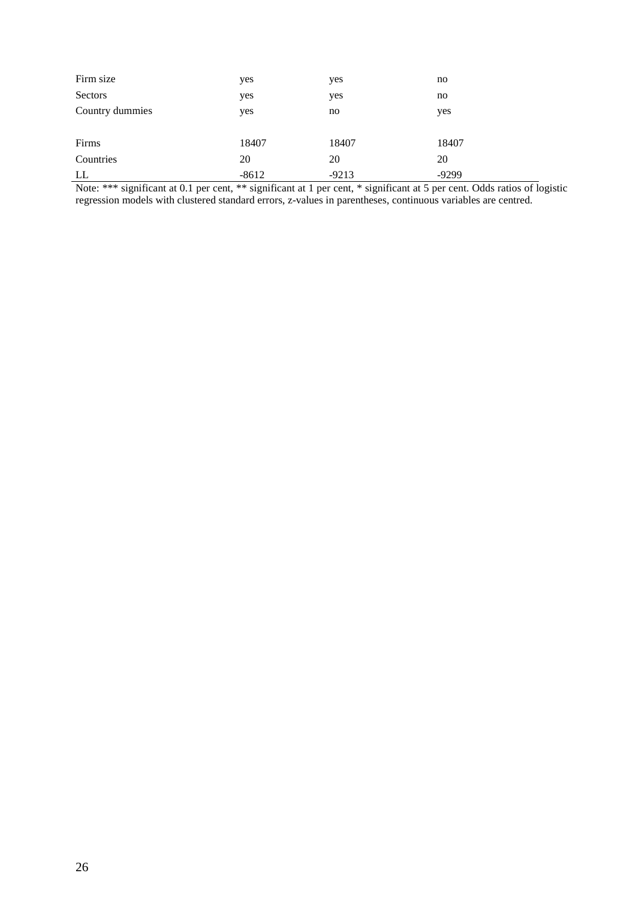| Firm size       | yes     | yes     | no      |
|-----------------|---------|---------|---------|
| Sectors         | yes     | yes     | no      |
| Country dummies | yes     | no      | yes     |
|                 |         |         |         |
| Firms           | 18407   | 18407   | 18407   |
| Countries       | 20      | 20      | 20      |
| LL              | $-8612$ | $-9213$ | $-9299$ |

Note: \*\*\* significant at 0.1 per cent, \*\* significant at 1 per cent, \* significant at 5 per cent. Odds ratios of logistic regression models with clustered standard errors, z-values in parentheses, continuous variables are centred.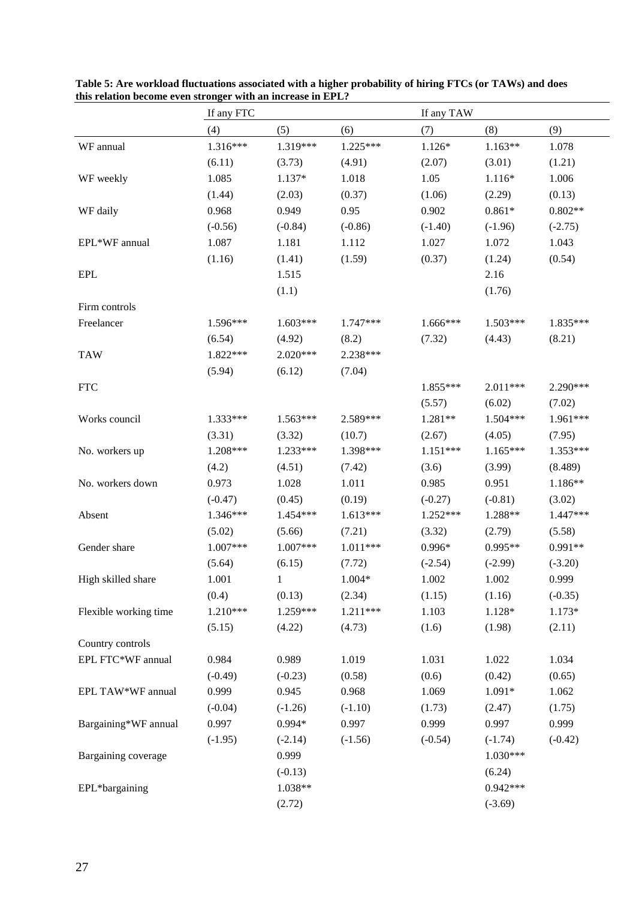|                       | this relation become even stronger with an increase in ErL.<br>If any FTC |            |            |            | If any TAW |           |  |
|-----------------------|---------------------------------------------------------------------------|------------|------------|------------|------------|-----------|--|
|                       | (4)                                                                       | (5)        | (6)        | (7)        | (8)        | (9)       |  |
| WF annual             | 1.316***                                                                  | 1.319***   | $1.225***$ | $1.126*$   | $1.163**$  | 1.078     |  |
|                       | (6.11)                                                                    | (3.73)     | (4.91)     | (2.07)     | (3.01)     | (1.21)    |  |
| WF weekly             | 1.085                                                                     | 1.137*     | 1.018      | 1.05       | $1.116*$   | 1.006     |  |
|                       | (1.44)                                                                    | (2.03)     | (0.37)     | (1.06)     | (2.29)     | (0.13)    |  |
| WF daily              | 0.968                                                                     | 0.949      | 0.95       | 0.902      | $0.861*$   | $0.802**$ |  |
|                       | $(-0.56)$                                                                 | $(-0.84)$  | $(-0.86)$  | $(-1.40)$  | $(-1.96)$  | $(-2.75)$ |  |
| EPL*WF annual         | 1.087                                                                     | 1.181      | 1.112      | 1.027      | 1.072      | 1.043     |  |
|                       | (1.16)                                                                    | (1.41)     | (1.59)     | (0.37)     | (1.24)     | (0.54)    |  |
| EPL                   |                                                                           | 1.515      |            |            | 2.16       |           |  |
|                       |                                                                           | (1.1)      |            |            | (1.76)     |           |  |
| Firm controls         |                                                                           |            |            |            |            |           |  |
| Freelancer            | $1.596***$                                                                | $1.603***$ | $1.747***$ | 1.666***   | $1.503***$ | 1.835***  |  |
|                       | (6.54)                                                                    | (4.92)     | (8.2)      | (7.32)     | (4.43)     | (8.21)    |  |
| <b>TAW</b>            | 1.822***                                                                  | $2.020***$ | 2.238***   |            |            |           |  |
|                       | (5.94)                                                                    | (6.12)     | (7.04)     |            |            |           |  |
| <b>FTC</b>            |                                                                           |            |            | 1.855***   | 2.011***   | 2.290***  |  |
|                       |                                                                           |            |            | (5.57)     | (6.02)     | (7.02)    |  |
| Works council         | 1.333***                                                                  | $1.563***$ | 2.589***   | 1.281**    | 1.504***   | 1.961***  |  |
|                       | (3.31)                                                                    | (3.32)     | (10.7)     | (2.67)     | (4.05)     | (7.95)    |  |
| No. workers up        | 1.208***                                                                  | 1.233***   | 1.398***   | $1.151***$ | $1.165***$ | 1.353***  |  |
|                       | (4.2)                                                                     | (4.51)     | (7.42)     | (3.6)      | (3.99)     | (8.489)   |  |
| No. workers down      | 0.973                                                                     | 1.028      | $1.011\,$  | 0.985      | 0.951      | 1.186**   |  |
|                       | $(-0.47)$                                                                 | (0.45)     | (0.19)     | $(-0.27)$  | $(-0.81)$  | (3.02)    |  |
| Absent                | 1.346***                                                                  | 1.454***   | $1.613***$ | $1.252***$ | 1.288**    | 1.447***  |  |
|                       | (5.02)                                                                    | (5.66)     | (7.21)     | (3.32)     | (2.79)     | (5.58)    |  |
| Gender share          | $1.007***$                                                                | $1.007***$ | $1.011***$ | 0.996*     | $0.995**$  | 0.991**   |  |
|                       | (5.64)                                                                    | (6.15)     | (7.72)     | $(-2.54)$  | $(-2.99)$  | $(-3.20)$ |  |
| High skilled share    | 1.001                                                                     | 1          | 1.004*     | 1.002      | 1.002      | 0.999     |  |
|                       | (0.4)                                                                     | (0.13)     | (2.34)     | (1.15)     | (1.16)     | $(-0.35)$ |  |
| Flexible working time | 1.210***                                                                  | 1.259***   | 1.211***   | 1.103      | 1.128*     | $1.173*$  |  |
|                       | (5.15)                                                                    | (4.22)     | (4.73)     | (1.6)      | (1.98)     | (2.11)    |  |
| Country controls      |                                                                           |            |            |            |            |           |  |
| EPL FTC*WF annual     | 0.984                                                                     | 0.989      | 1.019      | 1.031      | 1.022      | 1.034     |  |
|                       | $(-0.49)$                                                                 | $(-0.23)$  | (0.58)     | (0.6)      | (0.42)     | (0.65)    |  |
| EPL TAW*WF annual     | 0.999                                                                     | 0.945      | 0.968      | 1.069      | $1.091*$   | 1.062     |  |
|                       | $(-0.04)$                                                                 | $(-1.26)$  | $(-1.10)$  | (1.73)     | (2.47)     | (1.75)    |  |
| Bargaining*WF annual  | 0.997                                                                     | $0.994*$   | 0.997      | 0.999      | 0.997      | 0.999     |  |
|                       | $(-1.95)$                                                                 | $(-2.14)$  | $(-1.56)$  | $(-0.54)$  | $(-1.74)$  | $(-0.42)$ |  |
| Bargaining coverage   |                                                                           | 0.999      |            |            | $1.030***$ |           |  |
|                       |                                                                           | $(-0.13)$  |            |            | (6.24)     |           |  |
| EPL*bargaining        |                                                                           | 1.038**    |            |            | $0.942***$ |           |  |
|                       |                                                                           | (2.72)     |            |            | $(-3.69)$  |           |  |

**Table 5: Are workload fluctuations associated with a higher probability of hiring FTCs (or TAWs) and does this relation become even stronger with an increase in EPL?**